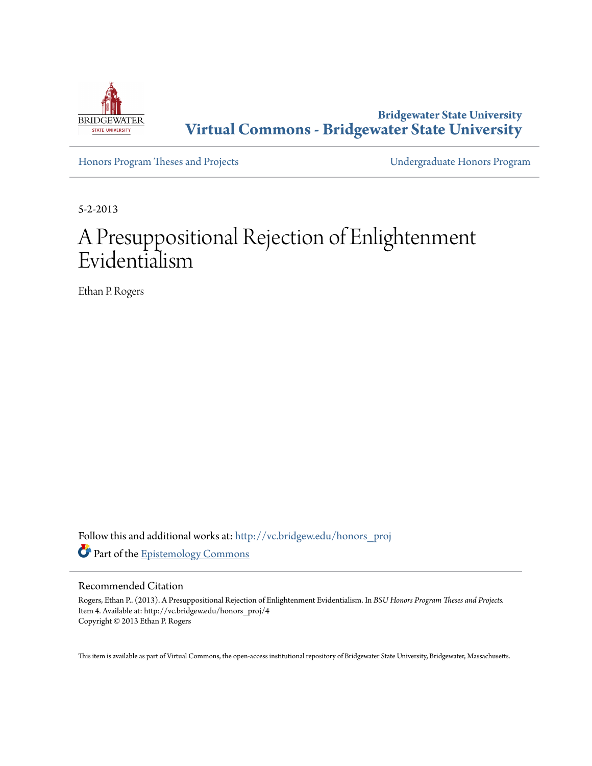

**Bridgewater State University [Virtual Commons - Bridgewater State University](http://vc.bridgew.edu?utm_source=vc.bridgew.edu%2Fhonors_proj%2F4&utm_medium=PDF&utm_campaign=PDFCoverPages)**

[Honors Program Theses and Projects](http://vc.bridgew.edu/honors_proj?utm_source=vc.bridgew.edu%2Fhonors_proj%2F4&utm_medium=PDF&utm_campaign=PDFCoverPages) [Undergraduate Honors Program](http://vc.bridgew.edu/honors?utm_source=vc.bridgew.edu%2Fhonors_proj%2F4&utm_medium=PDF&utm_campaign=PDFCoverPages)

5-2-2013

# A Presuppositional Rejection of Enlightenment Evidentialism

Ethan P. Rogers

Follow this and additional works at: [http://vc.bridgew.edu/honors\\_proj](http://vc.bridgew.edu/honors_proj?utm_source=vc.bridgew.edu%2Fhonors_proj%2F4&utm_medium=PDF&utm_campaign=PDFCoverPages) Part of the [Epistemology Commons](http://network.bepress.com/hgg/discipline/527?utm_source=vc.bridgew.edu%2Fhonors_proj%2F4&utm_medium=PDF&utm_campaign=PDFCoverPages)

### Recommended Citation

Rogers, Ethan P.. (2013). A Presuppositional Rejection of Enlightenment Evidentialism. In *BSU Honors Program Theses and Projects.* Item 4. Available at: http://vc.bridgew.edu/honors\_proj/4 Copyright © 2013 Ethan P. Rogers

This item is available as part of Virtual Commons, the open-access institutional repository of Bridgewater State University, Bridgewater, Massachusetts.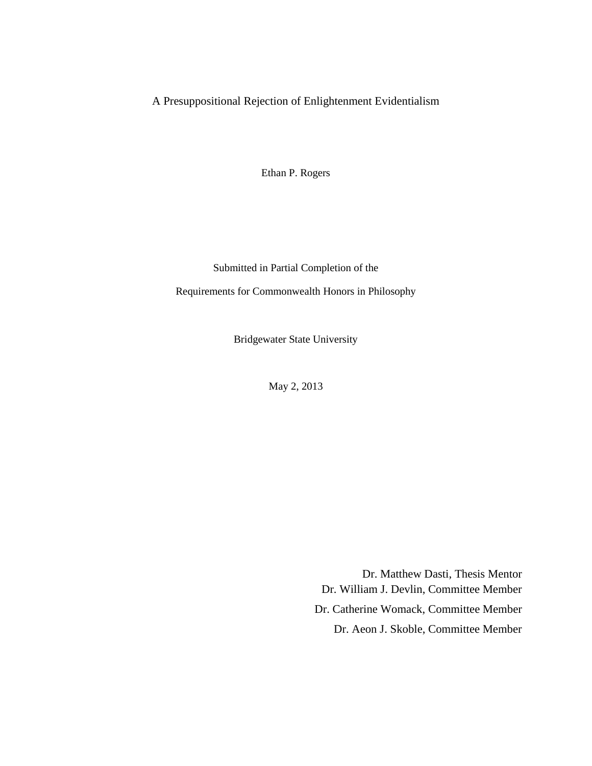# A Presuppositional Rejection of Enlightenment Evidentialism

Ethan P. Rogers

Submitted in Partial Completion of the

Requirements for Commonwealth Honors in Philosophy

Bridgewater State University

May 2, 2013

Dr. Matthew Dasti, Thesis Mentor Dr. William J. Devlin, Committee Member Dr. Catherine Womack, Committee Member Dr. Aeon J. Skoble, Committee Member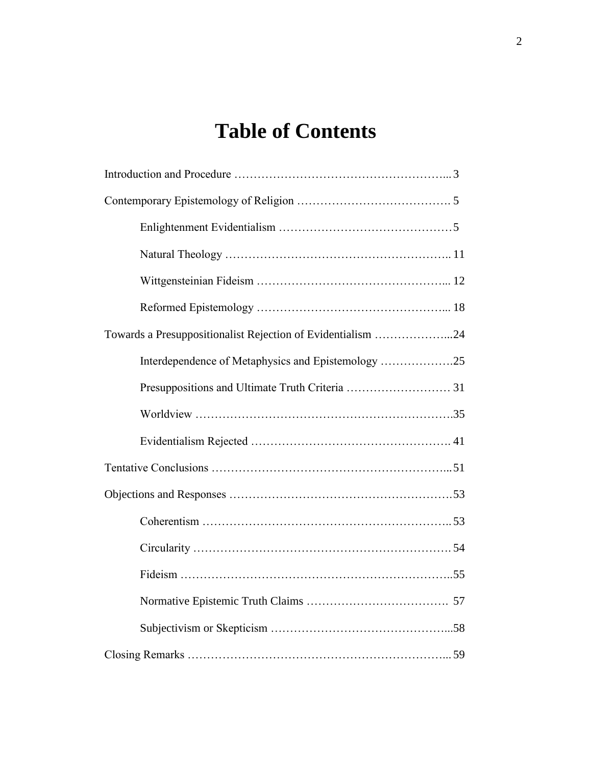# **Table of Contents**

| Towards a Presuppositionalist Rejection of Evidentialism 24 |  |
|-------------------------------------------------------------|--|
| Interdependence of Metaphysics and Epistemology 25          |  |
|                                                             |  |
|                                                             |  |
|                                                             |  |
|                                                             |  |
|                                                             |  |
|                                                             |  |
|                                                             |  |
|                                                             |  |
|                                                             |  |
|                                                             |  |
|                                                             |  |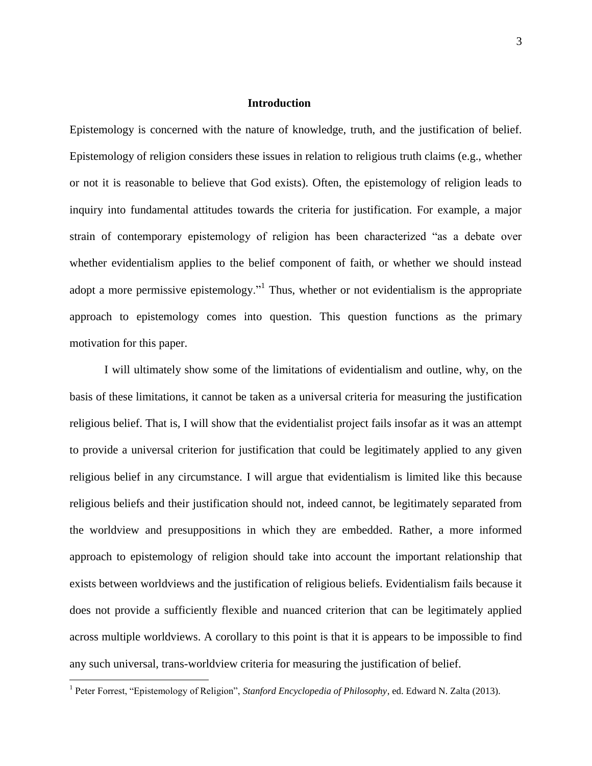#### **Introduction**

Epistemology is concerned with the nature of knowledge, truth, and the justification of belief. Epistemology of religion considers these issues in relation to religious truth claims (e.g., whether or not it is reasonable to believe that God exists). Often, the epistemology of religion leads to inquiry into fundamental attitudes towards the criteria for justification. For example, a major strain of contemporary epistemology of religion has been characterized "as a debate over whether evidentialism applies to the belief component of faith, or whether we should instead adopt a more permissive epistemology."<sup>1</sup> Thus, whether or not evidentialism is the appropriate approach to epistemology comes into question. This question functions as the primary motivation for this paper.

I will ultimately show some of the limitations of evidentialism and outline, why, on the basis of these limitations, it cannot be taken as a universal criteria for measuring the justification religious belief. That is, I will show that the evidentialist project fails insofar as it was an attempt to provide a universal criterion for justification that could be legitimately applied to any given religious belief in any circumstance. I will argue that evidentialism is limited like this because religious beliefs and their justification should not, indeed cannot, be legitimately separated from the worldview and presuppositions in which they are embedded. Rather, a more informed approach to epistemology of religion should take into account the important relationship that exists between worldviews and the justification of religious beliefs. Evidentialism fails because it does not provide a sufficiently flexible and nuanced criterion that can be legitimately applied across multiple worldviews. A corollary to this point is that it is appears to be impossible to find any such universal, trans-worldview criteria for measuring the justification of belief.

<sup>&</sup>lt;sup>1</sup> Peter Forrest, "Epistemology of Religion", *Stanford Encyclopedia of Philosophy*, ed. Edward N. Zalta (2013).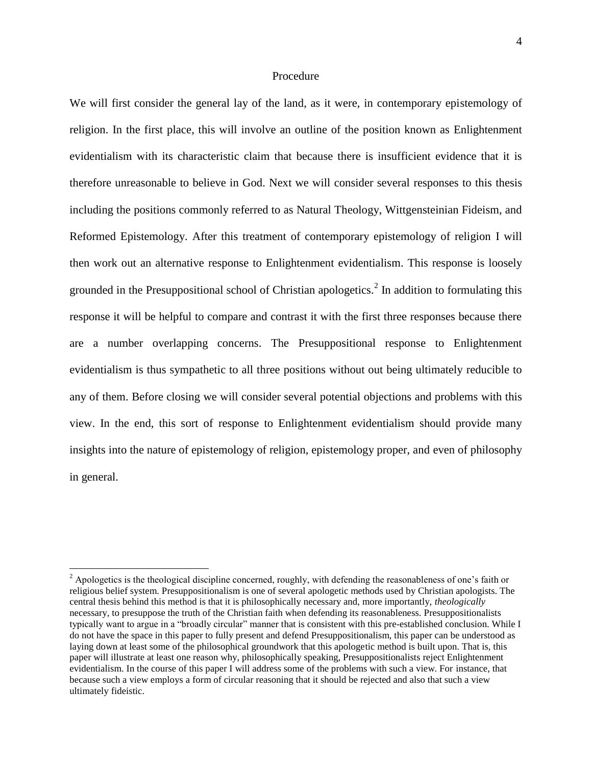# Procedure

We will first consider the general lay of the land, as it were, in contemporary epistemology of religion. In the first place, this will involve an outline of the position known as Enlightenment evidentialism with its characteristic claim that because there is insufficient evidence that it is therefore unreasonable to believe in God. Next we will consider several responses to this thesis including the positions commonly referred to as Natural Theology, Wittgensteinian Fideism, and Reformed Epistemology. After this treatment of contemporary epistemology of religion I will then work out an alternative response to Enlightenment evidentialism. This response is loosely grounded in the Presuppositional school of Christian apologetics.<sup>2</sup> In addition to formulating this response it will be helpful to compare and contrast it with the first three responses because there are a number overlapping concerns. The Presuppositional response to Enlightenment evidentialism is thus sympathetic to all three positions without out being ultimately reducible to any of them. Before closing we will consider several potential objections and problems with this view. In the end, this sort of response to Enlightenment evidentialism should provide many insights into the nature of epistemology of religion, epistemology proper, and even of philosophy in general.

 $2^2$  Apologetics is the theological discipline concerned, roughly, with defending the reasonableness of one's faith or religious belief system. Presuppositionalism is one of several apologetic methods used by Christian apologists. The central thesis behind this method is that it is philosophically necessary and, more importantly, *theologically* necessary, to presuppose the truth of the Christian faith when defending its reasonableness. Presuppositionalists typically want to argue in a "broadly circular" manner that is consistent with this pre-established conclusion. While I do not have the space in this paper to fully present and defend Presuppositionalism, this paper can be understood as laying down at least some of the philosophical groundwork that this apologetic method is built upon. That is, this paper will illustrate at least one reason why, philosophically speaking, Presuppositionalists reject Enlightenment evidentialism. In the course of this paper I will address some of the problems with such a view. For instance, that because such a view employs a form of circular reasoning that it should be rejected and also that such a view ultimately fideistic.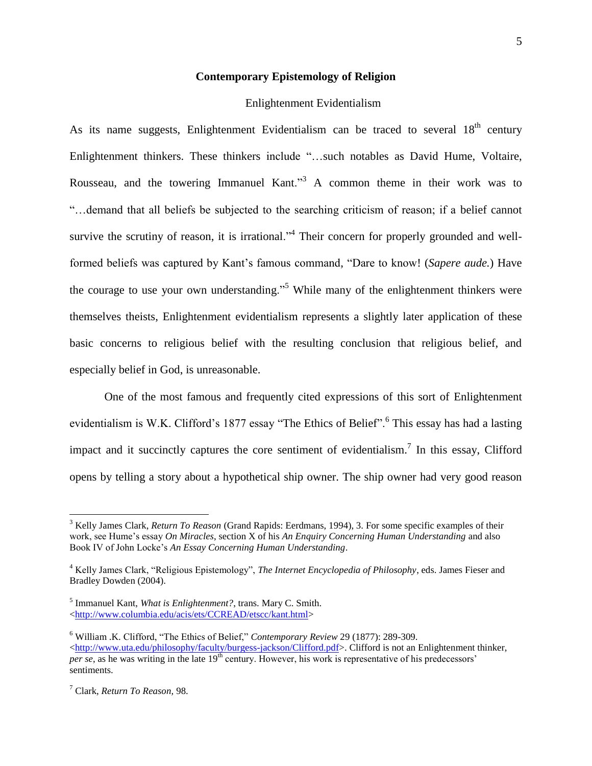#### **Contemporary Epistemology of Religion**

#### Enlightenment Evidentialism

As its name suggests, Enlightenment Evidentialism can be traced to several  $18<sup>th</sup>$  century Enlightenment thinkers. These thinkers include "…such notables as David Hume, Voltaire, Rousseau, and the towering Immanuel Kant."<sup>3</sup> A common theme in their work was to "…demand that all beliefs be subjected to the searching criticism of reason; if a belief cannot survive the scrutiny of reason, it is irrational."<sup>4</sup> Their concern for properly grounded and wellformed beliefs was captured by Kant's famous command, "Dare to know! (*Sapere aude.*) Have the courage to use your own understanding.<sup>55</sup> While many of the enlightenment thinkers were themselves theists, Enlightenment evidentialism represents a slightly later application of these basic concerns to religious belief with the resulting conclusion that religious belief, and especially belief in God, is unreasonable.

One of the most famous and frequently cited expressions of this sort of Enlightenment evidentialism is W.K. Clifford's 1877 essay "The Ethics of Belief".<sup>6</sup> This essay has had a lasting impact and it succinctly captures the core sentiment of evidentialism.<sup>7</sup> In this essay, Clifford opens by telling a story about a hypothetical ship owner. The ship owner had very good reason

<sup>3</sup> Kelly James Clark, *Return To Reason* (Grand Rapids: Eerdmans, 1994), 3. For some specific examples of their work, see Hume's essay *On Miracles*, section X of his *An Enquiry Concerning Human Understanding* and also Book IV of John Locke's *An Essay Concerning Human Understanding*.

<sup>4</sup> Kelly James Clark, "Religious Epistemology", *The Internet Encyclopedia of Philosophy*, eds. James Fieser and Bradley Dowden (2004).

<sup>5</sup> Immanuel Kant, *What is Enlightenment?*, trans. Mary C. Smith. [<http://www.columbia.edu/acis/ets/CCREAD/etscc/kant.html>](http://www.columbia.edu/acis/ets/CCREAD/etscc/kant.html)

<sup>6</sup> William .K. Clifford, "The Ethics of Belief," *Contemporary Review* 29 (1877): 289-309. [<http://www.uta.edu/philosophy/faculty/burgess-jackson/Clifford.pdf>](http://www.uta.edu/philosophy/faculty/burgess-jackson/Clifford.pdf). Clifford is not an Enlightenment thinker, *per se*, as he was writing in the late 19<sup>th</sup> century. However, his work is representative of his predecessors' sentiments.

<sup>7</sup> Clark, *Return To Reason,* 98.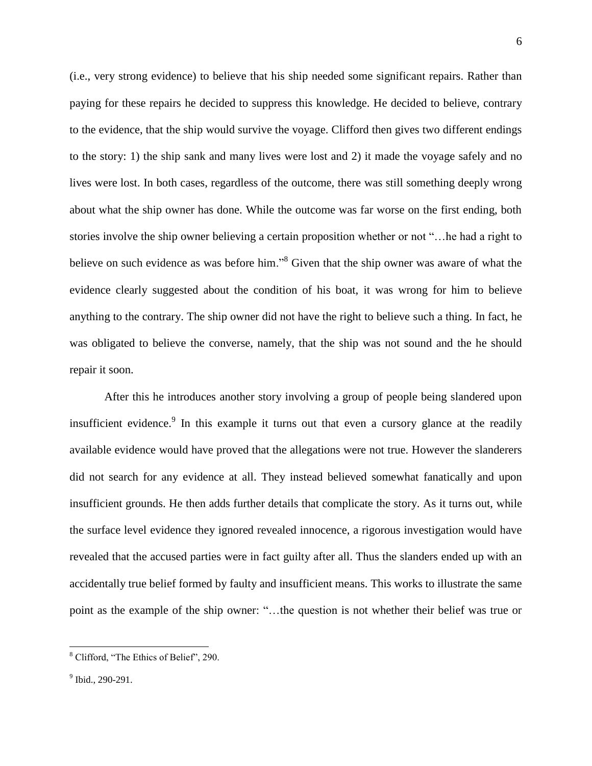(i.e., very strong evidence) to believe that his ship needed some significant repairs. Rather than paying for these repairs he decided to suppress this knowledge. He decided to believe, contrary to the evidence, that the ship would survive the voyage. Clifford then gives two different endings to the story: 1) the ship sank and many lives were lost and 2) it made the voyage safely and no lives were lost. In both cases, regardless of the outcome, there was still something deeply wrong about what the ship owner has done. While the outcome was far worse on the first ending, both stories involve the ship owner believing a certain proposition whether or not "…he had a right to believe on such evidence as was before him."<sup>8</sup> Given that the ship owner was aware of what the evidence clearly suggested about the condition of his boat, it was wrong for him to believe anything to the contrary. The ship owner did not have the right to believe such a thing. In fact, he was obligated to believe the converse, namely, that the ship was not sound and the he should repair it soon.

After this he introduces another story involving a group of people being slandered upon insufficient evidence.<sup>9</sup> In this example it turns out that even a cursory glance at the readily available evidence would have proved that the allegations were not true. However the slanderers did not search for any evidence at all. They instead believed somewhat fanatically and upon insufficient grounds. He then adds further details that complicate the story. As it turns out, while the surface level evidence they ignored revealed innocence, a rigorous investigation would have revealed that the accused parties were in fact guilty after all. Thus the slanders ended up with an accidentally true belief formed by faulty and insufficient means. This works to illustrate the same point as the example of the ship owner: "…the question is not whether their belief was true or

<sup>8</sup> Clifford, "The Ethics of Belief", 290.

<sup>&</sup>lt;sup>9</sup> Ibid., 290-291.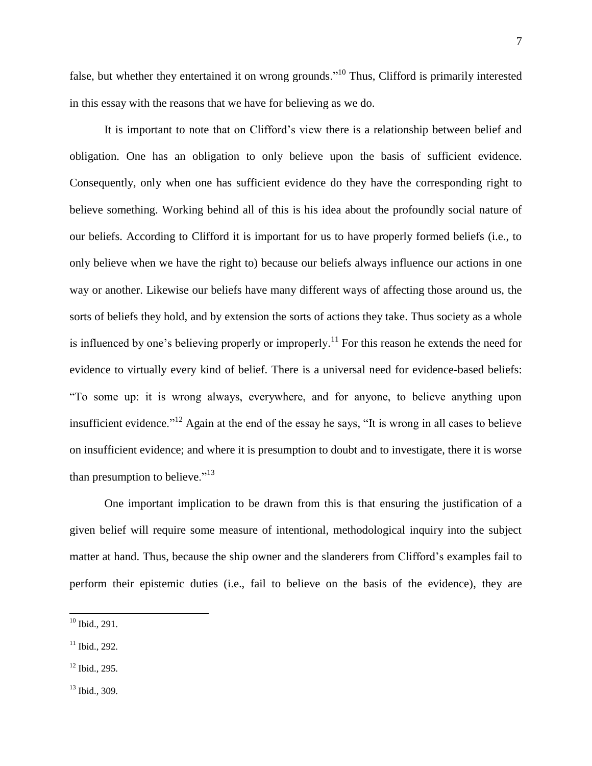false, but whether they entertained it on wrong grounds."<sup>10</sup> Thus, Clifford is primarily interested in this essay with the reasons that we have for believing as we do.

It is important to note that on Clifford's view there is a relationship between belief and obligation. One has an obligation to only believe upon the basis of sufficient evidence. Consequently, only when one has sufficient evidence do they have the corresponding right to believe something. Working behind all of this is his idea about the profoundly social nature of our beliefs. According to Clifford it is important for us to have properly formed beliefs (i.e., to only believe when we have the right to) because our beliefs always influence our actions in one way or another. Likewise our beliefs have many different ways of affecting those around us, the sorts of beliefs they hold, and by extension the sorts of actions they take. Thus society as a whole is influenced by one's believing properly or improperly.<sup>11</sup> For this reason he extends the need for evidence to virtually every kind of belief. There is a universal need for evidence-based beliefs: "To some up: it is wrong always, everywhere, and for anyone, to believe anything upon insufficient evidence."<sup>12</sup> Again at the end of the essay he says, "It is wrong in all cases to believe on insufficient evidence; and where it is presumption to doubt and to investigate, there it is worse than presumption to believe."<sup>13</sup>

One important implication to be drawn from this is that ensuring the justification of a given belief will require some measure of intentional, methodological inquiry into the subject matter at hand. Thus, because the ship owner and the slanderers from Clifford's examples fail to perform their epistemic duties (i.e., fail to believe on the basis of the evidence), they are

 $10$  Ibid., 291.

 $11$  Ibid., 292.

<sup>12</sup> Ibid., 295.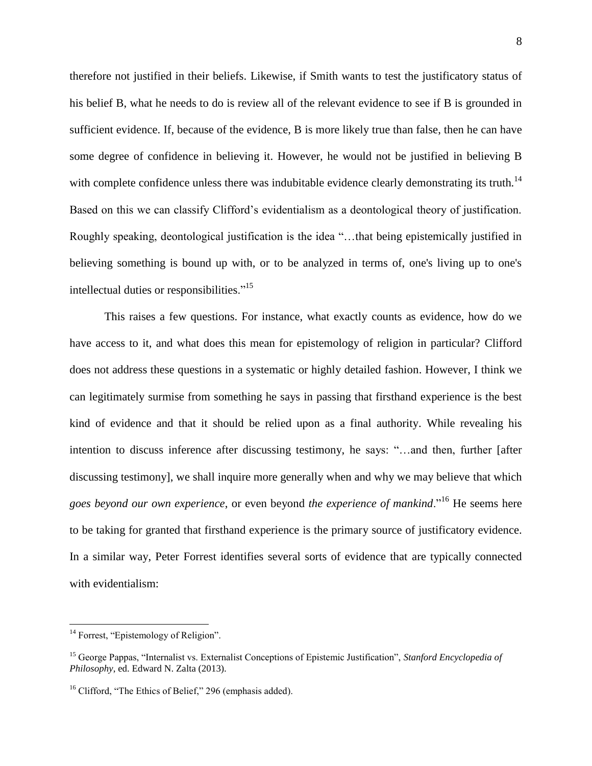therefore not justified in their beliefs. Likewise, if Smith wants to test the justificatory status of his belief B, what he needs to do is review all of the relevant evidence to see if B is grounded in sufficient evidence. If, because of the evidence, B is more likely true than false, then he can have some degree of confidence in believing it. However, he would not be justified in believing B with complete confidence unless there was indubitable evidence clearly demonstrating its truth.<sup>14</sup> Based on this we can classify Clifford's evidentialism as a deontological theory of justification. Roughly speaking, deontological justification is the idea "…that being epistemically justified in believing something is bound up with, or to be analyzed in terms of, one's living up to one's intellectual duties or responsibilities."<sup>15</sup>

This raises a few questions. For instance, what exactly counts as evidence, how do we have access to it, and what does this mean for epistemology of religion in particular? Clifford does not address these questions in a systematic or highly detailed fashion. However, I think we can legitimately surmise from something he says in passing that firsthand experience is the best kind of evidence and that it should be relied upon as a final authority. While revealing his intention to discuss inference after discussing testimony, he says: "…and then, further [after discussing testimony], we shall inquire more generally when and why we may believe that which *goes beyond our own experience*, or even beyond *the experience of mankind*."<sup>16</sup> He seems here to be taking for granted that firsthand experience is the primary source of justificatory evidence. In a similar way, Peter Forrest identifies several sorts of evidence that are typically connected with evidentialism:

l

<sup>&</sup>lt;sup>14</sup> Forrest, "Epistemology of Religion".

<sup>15</sup> George Pappas, "Internalist vs. Externalist Conceptions of Epistemic Justification", *Stanford Encyclopedia of Philosophy*, ed. Edward N. Zalta (2013).

<sup>&</sup>lt;sup>16</sup> Clifford, "The Ethics of Belief," 296 (emphasis added).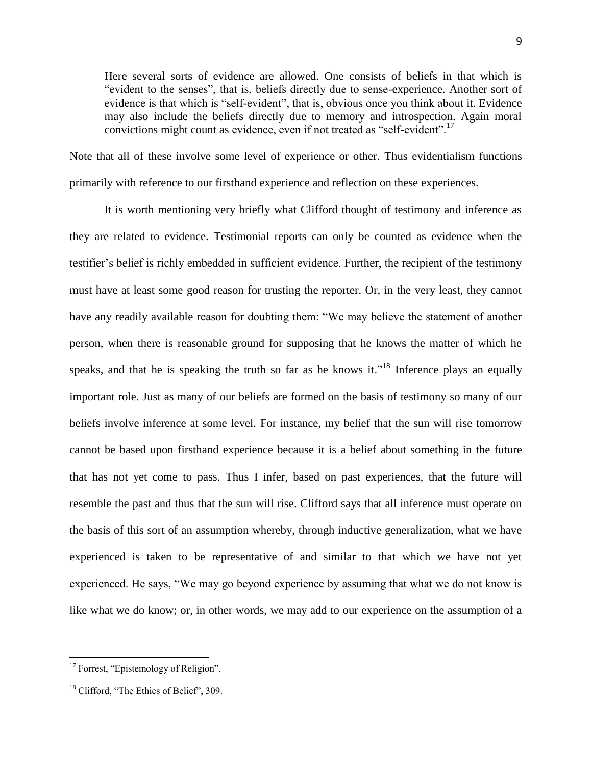Here several sorts of evidence are allowed. One consists of beliefs in that which is "evident to the senses", that is, beliefs directly due to sense-experience. Another sort of evidence is that which is "self-evident", that is, obvious once you think about it. Evidence may also include the beliefs directly due to memory and introspection. Again moral convictions might count as evidence, even if not treated as "self-evident".<sup>17</sup>

Note that all of these involve some level of experience or other. Thus evidentialism functions primarily with reference to our firsthand experience and reflection on these experiences.

It is worth mentioning very briefly what Clifford thought of testimony and inference as they are related to evidence. Testimonial reports can only be counted as evidence when the testifier's belief is richly embedded in sufficient evidence. Further, the recipient of the testimony must have at least some good reason for trusting the reporter. Or, in the very least, they cannot have any readily available reason for doubting them: "We may believe the statement of another person, when there is reasonable ground for supposing that he knows the matter of which he speaks, and that he is speaking the truth so far as he knows it."<sup>18</sup> Inference plays an equally important role. Just as many of our beliefs are formed on the basis of testimony so many of our beliefs involve inference at some level. For instance, my belief that the sun will rise tomorrow cannot be based upon firsthand experience because it is a belief about something in the future that has not yet come to pass. Thus I infer, based on past experiences, that the future will resemble the past and thus that the sun will rise. Clifford says that all inference must operate on the basis of this sort of an assumption whereby, through inductive generalization, what we have experienced is taken to be representative of and similar to that which we have not yet experienced. He says, "We may go beyond experience by assuming that what we do not know is like what we do know; or, in other words, we may add to our experience on the assumption of a

<sup>&</sup>lt;sup>17</sup> Forrest, "Epistemology of Religion".

<sup>&</sup>lt;sup>18</sup> Clifford, "The Ethics of Belief", 309.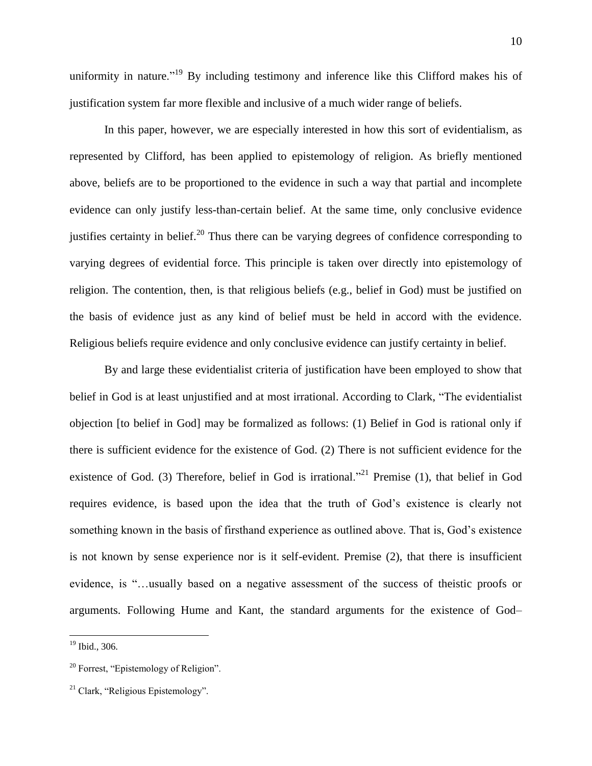uniformity in nature."<sup>19</sup> By including testimony and inference like this Clifford makes his of justification system far more flexible and inclusive of a much wider range of beliefs.

In this paper, however, we are especially interested in how this sort of evidentialism, as represented by Clifford, has been applied to epistemology of religion. As briefly mentioned above, beliefs are to be proportioned to the evidence in such a way that partial and incomplete evidence can only justify less-than-certain belief. At the same time, only conclusive evidence justifies certainty in belief.<sup>20</sup> Thus there can be varying degrees of confidence corresponding to varying degrees of evidential force. This principle is taken over directly into epistemology of religion. The contention, then, is that religious beliefs (e.g., belief in God) must be justified on the basis of evidence just as any kind of belief must be held in accord with the evidence. Religious beliefs require evidence and only conclusive evidence can justify certainty in belief.

By and large these evidentialist criteria of justification have been employed to show that belief in God is at least unjustified and at most irrational. According to Clark, "The evidentialist objection [to belief in God] may be formalized as follows: (1) Belief in God is rational only if there is sufficient evidence for the existence of God. (2) There is not sufficient evidence for the existence of God. (3) Therefore, belief in God is irrational."<sup>21</sup> Premise (1), that belief in God requires evidence, is based upon the idea that the truth of God's existence is clearly not something known in the basis of firsthand experience as outlined above. That is, God's existence is not known by sense experience nor is it self-evident. Premise (2), that there is insufficient evidence, is "…usually based on a negative assessment of the success of theistic proofs or arguments. Following Hume and Kant, the standard arguments for the existence of God–

 $\overline{a}$ 

<sup>19</sup> Ibid., 306.

<sup>20</sup> Forrest, "Epistemology of Religion".

 $21$  Clark, "Religious Epistemology".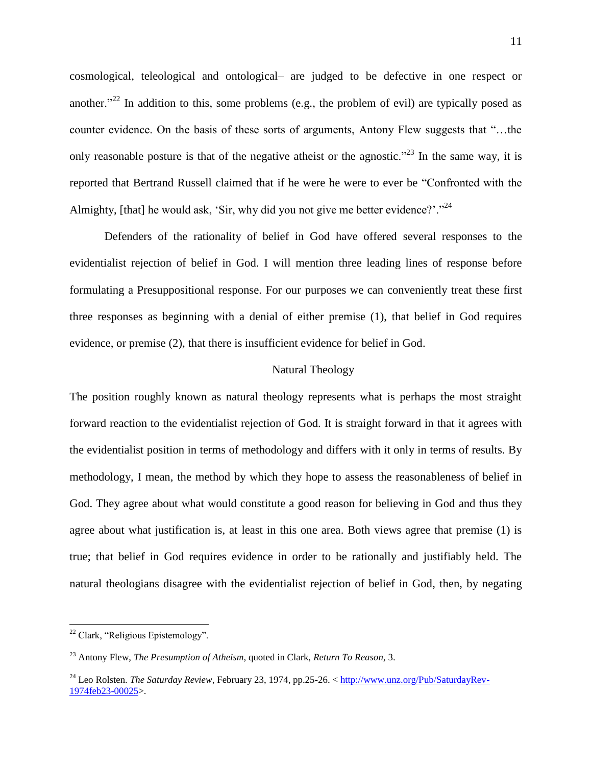cosmological, teleological and ontological– are judged to be defective in one respect or another."<sup>22</sup> In addition to this, some problems (e.g., the problem of evil) are typically posed as counter evidence. On the basis of these sorts of arguments, Antony Flew suggests that "…the only reasonable posture is that of the negative atheist or the agnostic."<sup>23</sup> In the same way, it is reported that Bertrand Russell claimed that if he were he were to ever be "Confronted with the Almighty, [that] he would ask, 'Sir, why did you not give me better evidence?'."<sup>24</sup>

Defenders of the rationality of belief in God have offered several responses to the evidentialist rejection of belief in God. I will mention three leading lines of response before formulating a Presuppositional response. For our purposes we can conveniently treat these first three responses as beginning with a denial of either premise (1), that belief in God requires evidence, or premise (2), that there is insufficient evidence for belief in God.

#### Natural Theology

The position roughly known as natural theology represents what is perhaps the most straight forward reaction to the evidentialist rejection of God. It is straight forward in that it agrees with the evidentialist position in terms of methodology and differs with it only in terms of results. By methodology, I mean, the method by which they hope to assess the reasonableness of belief in God. They agree about what would constitute a good reason for believing in God and thus they agree about what justification is, at least in this one area. Both views agree that premise (1) is true; that belief in God requires evidence in order to be rationally and justifiably held. The natural theologians disagree with the evidentialist rejection of belief in God, then, by negating

l

<sup>&</sup>lt;sup>22</sup> Clark, "Religious Epistemology".

<sup>23</sup> Antony Flew, *The Presumption of Atheism*, quoted in Clark, *Return To Reason*, 3.

<sup>24</sup> Leo Rolsten. *The Saturday Review*, February 23, 1974, pp.25-26. < [http://www.unz.org/Pub/SaturdayRev-](http://www.unz.org/Pub/SaturdayRev-1974feb23-00025)[1974feb23-00025>](http://www.unz.org/Pub/SaturdayRev-1974feb23-00025).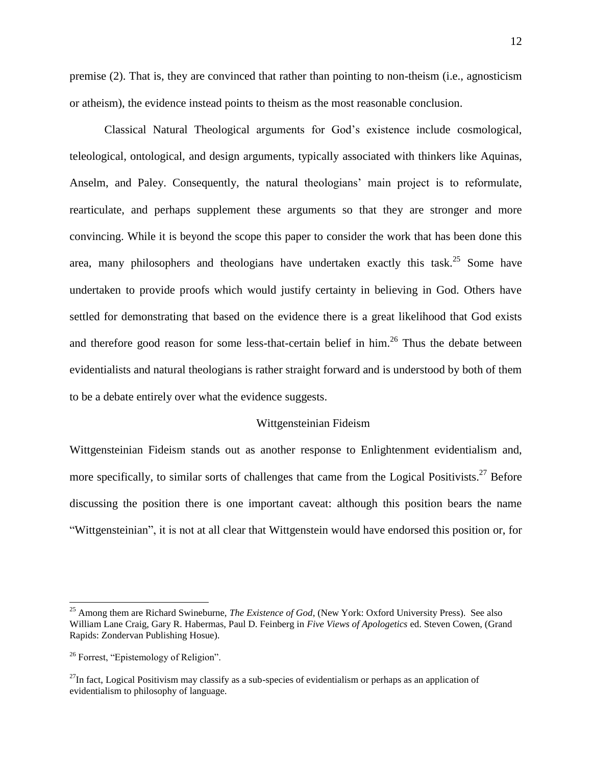premise (2). That is, they are convinced that rather than pointing to non-theism (i.e., agnosticism or atheism), the evidence instead points to theism as the most reasonable conclusion.

Classical Natural Theological arguments for God's existence include cosmological, teleological, ontological, and design arguments, typically associated with thinkers like Aquinas, Anselm, and Paley. Consequently, the natural theologians' main project is to reformulate, rearticulate, and perhaps supplement these arguments so that they are stronger and more convincing. While it is beyond the scope this paper to consider the work that has been done this area, many philosophers and theologians have undertaken exactly this task.<sup>25</sup> Some have undertaken to provide proofs which would justify certainty in believing in God. Others have settled for demonstrating that based on the evidence there is a great likelihood that God exists and therefore good reason for some less-that-certain belief in him.<sup>26</sup> Thus the debate between evidentialists and natural theologians is rather straight forward and is understood by both of them to be a debate entirely over what the evidence suggests.

#### Wittgensteinian Fideism

Wittgensteinian Fideism stands out as another response to Enlightenment evidentialism and, more specifically, to similar sorts of challenges that came from the Logical Positivists.<sup>27</sup> Before discussing the position there is one important caveat: although this position bears the name "Wittgensteinian", it is not at all clear that Wittgenstein would have endorsed this position or, for

 $\overline{a}$ 

<sup>25</sup> Among them are Richard Swineburne, *The Existence of God*, (New York: Oxford University Press). See also William Lane Craig, Gary R. Habermas, Paul D. Feinberg in *Five Views of Apologetics* ed. Steven Cowen, (Grand Rapids: Zondervan Publishing Hosue).

<sup>26</sup> Forrest, "Epistemology of Religion".

 $^{27}$ In fact, Logical Positivism may classify as a sub-species of evidentialism or perhaps as an application of evidentialism to philosophy of language.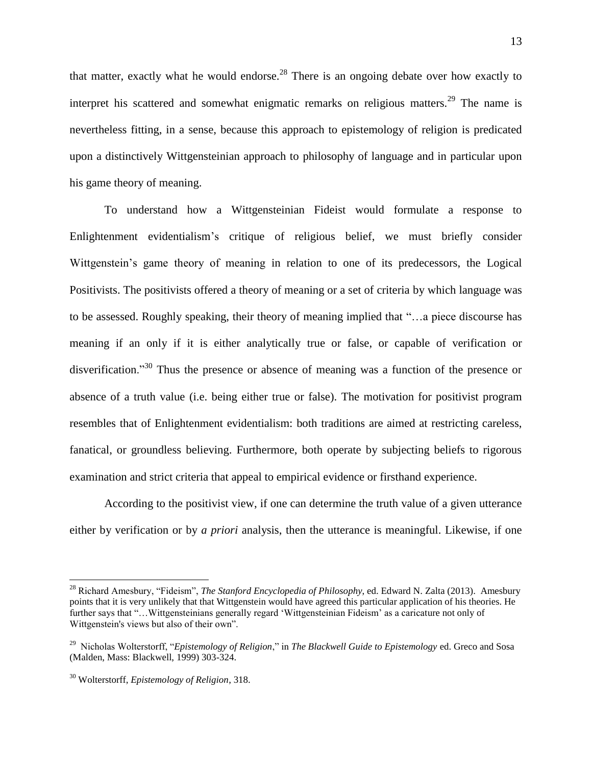that matter, exactly what he would endorse.<sup>28</sup> There is an ongoing debate over how exactly to interpret his scattered and somewhat enigmatic remarks on religious matters.<sup>29</sup> The name is nevertheless fitting, in a sense, because this approach to epistemology of religion is predicated upon a distinctively Wittgensteinian approach to philosophy of language and in particular upon his game theory of meaning.

To understand how a Wittgensteinian Fideist would formulate a response to Enlightenment evidentialism's critique of religious belief, we must briefly consider Wittgenstein's game theory of meaning in relation to one of its predecessors, the Logical Positivists. The positivists offered a theory of meaning or a set of criteria by which language was to be assessed. Roughly speaking, their theory of meaning implied that "…a piece discourse has meaning if an only if it is either analytically true or false, or capable of verification or disverification."<sup>30</sup> Thus the presence or absence of meaning was a function of the presence or absence of a truth value (i.e. being either true or false). The motivation for positivist program resembles that of Enlightenment evidentialism: both traditions are aimed at restricting careless, fanatical, or groundless believing. Furthermore, both operate by subjecting beliefs to rigorous examination and strict criteria that appeal to empirical evidence or firsthand experience.

According to the positivist view, if one can determine the truth value of a given utterance either by verification or by *a priori* analysis, then the utterance is meaningful. Likewise, if one

<sup>28</sup> Richard Amesbury, "Fideism", *The Stanford Encyclopedia of Philosophy*, ed. Edward N. Zalta (2013). Amesbury points that it is very unlikely that that Wittgenstein would have agreed this particular application of his theories. He further says that "…Wittgensteinians generally regard 'Wittgensteinian Fideism' as a caricature not only of Wittgenstein's views but also of their own".

<sup>29</sup> Nicholas Wolterstorff, "*Epistemology of Religion*," in *The Blackwell Guide to Epistemology* ed. Greco and Sosa (Malden, Mass: Blackwell, 1999) 303-324.

<sup>30</sup> Wolterstorff, *Epistemology of Religion*, 318.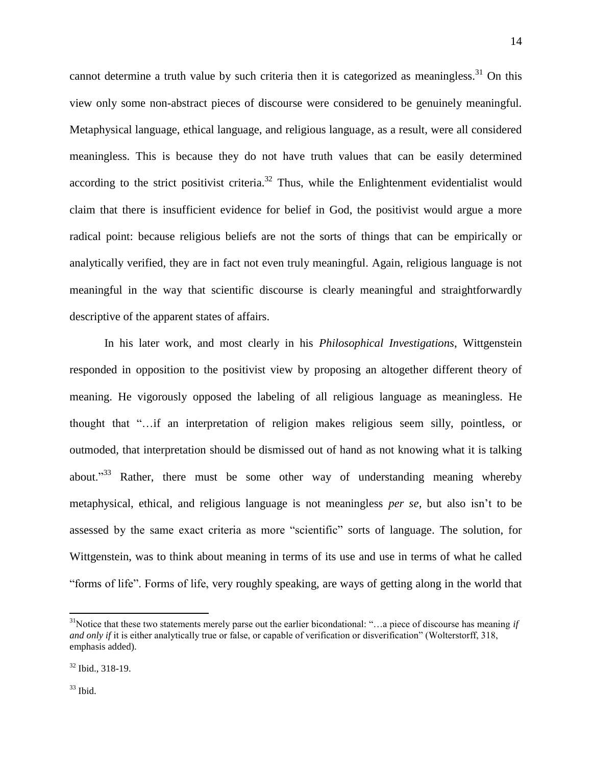cannot determine a truth value by such criteria then it is categorized as meaningless.<sup>31</sup> On this view only some non-abstract pieces of discourse were considered to be genuinely meaningful. Metaphysical language, ethical language, and religious language, as a result, were all considered meaningless. This is because they do not have truth values that can be easily determined according to the strict positivist criteria.<sup>32</sup> Thus, while the Enlightenment evidentialist would claim that there is insufficient evidence for belief in God, the positivist would argue a more radical point: because religious beliefs are not the sorts of things that can be empirically or analytically verified, they are in fact not even truly meaningful. Again, religious language is not meaningful in the way that scientific discourse is clearly meaningful and straightforwardly descriptive of the apparent states of affairs.

In his later work, and most clearly in his *Philosophical Investigations*, Wittgenstein responded in opposition to the positivist view by proposing an altogether different theory of meaning. He vigorously opposed the labeling of all religious language as meaningless. He thought that "…if an interpretation of religion makes religious seem silly, pointless, or outmoded, that interpretation should be dismissed out of hand as not knowing what it is talking about."<sup>33</sup> Rather, there must be some other way of understanding meaning whereby metaphysical, ethical, and religious language is not meaningless *per se*, but also isn't to be assessed by the same exact criteria as more "scientific" sorts of language. The solution, for Wittgenstein, was to think about meaning in terms of its use and use in terms of what he called "forms of life". Forms of life, very roughly speaking, are ways of getting along in the world that

14

 $33$  Ibid.

<sup>31</sup>Notice that these two statements merely parse out the earlier bicondational: "…a piece of discourse has meaning *if and only if* it is either analytically true or false, or capable of verification or disverification" (Wolterstorff, 318, emphasis added).

<sup>32</sup> Ibid., 318-19.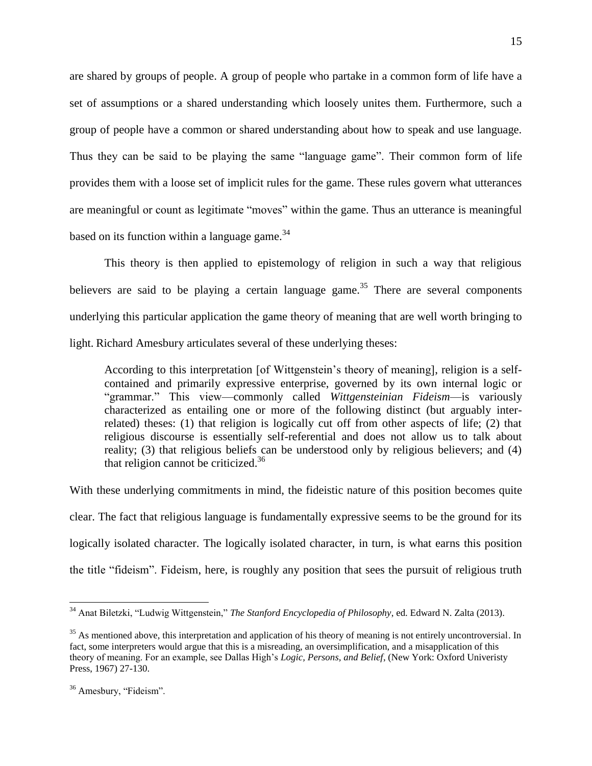are shared by groups of people. A group of people who partake in a common form of life have a set of assumptions or a shared understanding which loosely unites them. Furthermore, such a group of people have a common or shared understanding about how to speak and use language. Thus they can be said to be playing the same "language game". Their common form of life provides them with a loose set of implicit rules for the game. These rules govern what utterances are meaningful or count as legitimate "moves" within the game. Thus an utterance is meaningful based on its function within a language game.<sup>34</sup>

This theory is then applied to epistemology of religion in such a way that religious believers are said to be playing a certain language game.<sup>35</sup> There are several components underlying this particular application the game theory of meaning that are well worth bringing to light. Richard Amesbury articulates several of these underlying theses:

According to this interpretation [of Wittgenstein's theory of meaning], religion is a selfcontained and primarily expressive enterprise, governed by its own internal logic or "grammar." This view—commonly called *Wittgensteinian Fideism*—is variously characterized as entailing one or more of the following distinct (but arguably interrelated) theses: (1) that religion is logically cut off from other aspects of life; (2) that religious discourse is essentially self-referential and does not allow us to talk about reality; (3) that religious beliefs can be understood only by religious believers; and (4) that religion cannot be criticized.<sup>36</sup>

With these underlying commitments in mind, the fideistic nature of this position becomes quite clear. The fact that religious language is fundamentally expressive seems to be the ground for its logically isolated character. The logically isolated character, in turn, is what earns this position the title "fideism". Fideism, here, is roughly any position that sees the pursuit of religious truth

 $\overline{a}$ 

<sup>34</sup> Anat Biletzki, "Ludwig Wittgenstein," *The Stanford Encyclopedia of Philosophy*, ed. Edward N. Zalta (2013).

 $35$  As mentioned above, this interpretation and application of his theory of meaning is not entirely uncontroversial. In fact, some interpreters would argue that this is a misreading, an oversimplification, and a misapplication of this theory of meaning. For an example, see Dallas High's *Logic, Persons, and Belief*, (New York: Oxford Univeristy Press, 1967) 27-130.

<sup>&</sup>lt;sup>36</sup> Amesbury, "Fideism".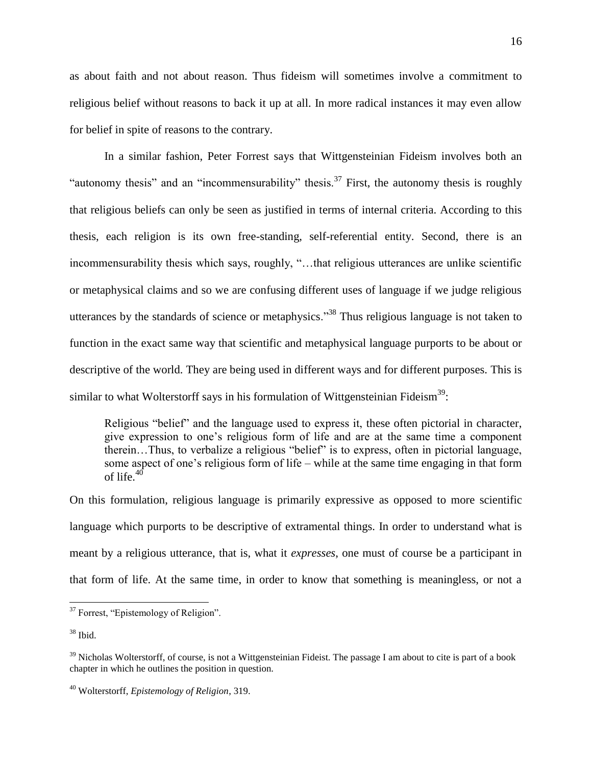as about faith and not about reason. Thus fideism will sometimes involve a commitment to religious belief without reasons to back it up at all. In more radical instances it may even allow for belief in spite of reasons to the contrary.

In a similar fashion, Peter Forrest says that Wittgensteinian Fideism involves both an "autonomy thesis" and an "incommensurability" thesis.<sup>37</sup> First, the autonomy thesis is roughly that religious beliefs can only be seen as justified in terms of internal criteria. According to this thesis, each religion is its own free-standing, self-referential entity. Second, there is an incommensurability thesis which says, roughly, "…that religious utterances are unlike scientific or metaphysical claims and so we are confusing different uses of language if we judge religious utterances by the standards of science or metaphysics."<sup>38</sup> Thus religious language is not taken to function in the exact same way that scientific and metaphysical language purports to be about or descriptive of the world. They are being used in different ways and for different purposes. This is similar to what Wolterstorff says in his formulation of Wittgensteinian Fideism<sup>39</sup>:

Religious "belief" and the language used to express it, these often pictorial in character, give expression to one's religious form of life and are at the same time a component therein…Thus, to verbalize a religious "belief" is to express, often in pictorial language, some aspect of one's religious form of life – while at the same time engaging in that form of life. $40$ 

On this formulation, religious language is primarily expressive as opposed to more scientific language which purports to be descriptive of extramental things. In order to understand what is meant by a religious utterance, that is, what it *expresses*, one must of course be a participant in that form of life. At the same time, in order to know that something is meaningless, or not a

 $\overline{a}$ 

<sup>&</sup>lt;sup>37</sup> Forrest, "Epistemology of Religion".

 $38$  Ibid.

 $39$  Nicholas Wolterstorff, of course, is not a Wittgensteinian Fideist. The passage I am about to cite is part of a book chapter in which he outlines the position in question.

<sup>40</sup> Wolterstorff, *Epistemology of Religion*, 319.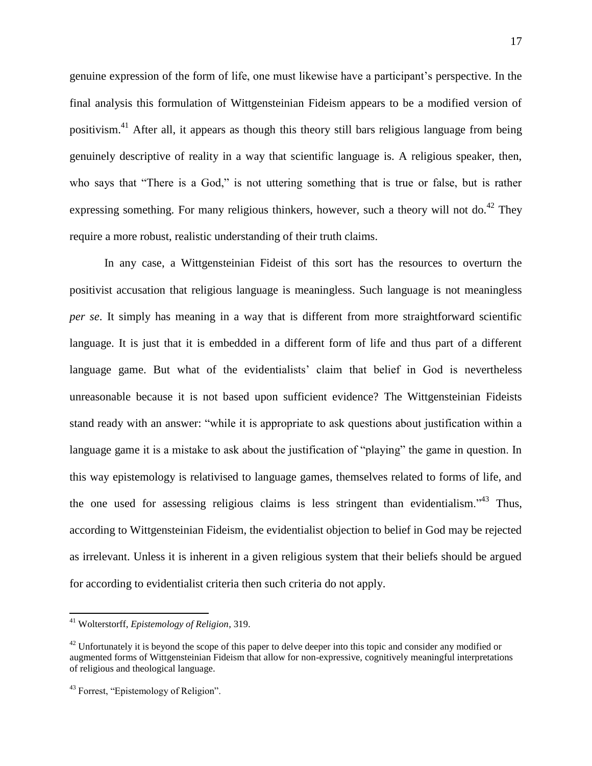genuine expression of the form of life, one must likewise have a participant's perspective. In the final analysis this formulation of Wittgensteinian Fideism appears to be a modified version of positivism.<sup>41</sup> After all, it appears as though this theory still bars religious language from being genuinely descriptive of reality in a way that scientific language is. A religious speaker, then, who says that "There is a God," is not uttering something that is true or false, but is rather expressing something. For many religious thinkers, however, such a theory will not do.<sup>42</sup> They require a more robust, realistic understanding of their truth claims.

In any case, a Wittgensteinian Fideist of this sort has the resources to overturn the positivist accusation that religious language is meaningless. Such language is not meaningless *per se*. It simply has meaning in a way that is different from more straightforward scientific language. It is just that it is embedded in a different form of life and thus part of a different language game. But what of the evidentialists' claim that belief in God is nevertheless unreasonable because it is not based upon sufficient evidence? The Wittgensteinian Fideists stand ready with an answer: "while it is appropriate to ask questions about justification within a language game it is a mistake to ask about the justification of "playing" the game in question. In this way epistemology is relativised to language games, themselves related to forms of life, and the one used for assessing religious claims is less stringent than evidentialism."<sup>43</sup> Thus, according to Wittgensteinian Fideism, the evidentialist objection to belief in God may be rejected as irrelevant. Unless it is inherent in a given religious system that their beliefs should be argued for according to evidentialist criteria then such criteria do not apply.

<sup>41</sup> Wolterstorff, *Epistemology of Religion*, 319.

 $42$  Unfortunately it is beyond the scope of this paper to delve deeper into this topic and consider any modified or augmented forms of Wittgensteinian Fideism that allow for non-expressive, cognitively meaningful interpretations of religious and theological language.

<sup>43</sup> Forrest, "Epistemology of Religion".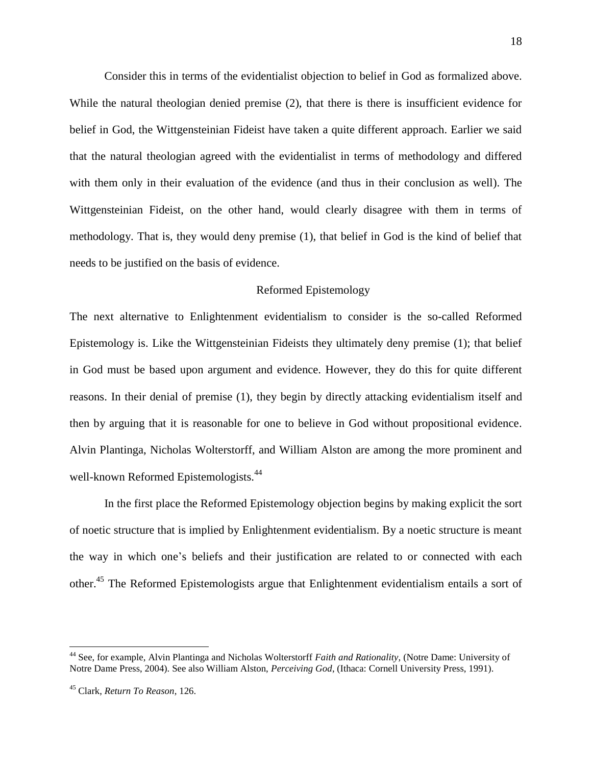Consider this in terms of the evidentialist objection to belief in God as formalized above. While the natural theologian denied premise (2), that there is there is insufficient evidence for belief in God, the Wittgensteinian Fideist have taken a quite different approach. Earlier we said that the natural theologian agreed with the evidentialist in terms of methodology and differed with them only in their evaluation of the evidence (and thus in their conclusion as well). The Wittgensteinian Fideist, on the other hand, would clearly disagree with them in terms of methodology. That is, they would deny premise (1), that belief in God is the kind of belief that needs to be justified on the basis of evidence.

# Reformed Epistemology

The next alternative to Enlightenment evidentialism to consider is the so-called Reformed Epistemology is. Like the Wittgensteinian Fideists they ultimately deny premise (1); that belief in God must be based upon argument and evidence. However, they do this for quite different reasons. In their denial of premise (1), they begin by directly attacking evidentialism itself and then by arguing that it is reasonable for one to believe in God without propositional evidence. Alvin Plantinga, Nicholas Wolterstorff, and William Alston are among the more prominent and well-known Reformed Epistemologists.<sup>44</sup>

In the first place the Reformed Epistemology objection begins by making explicit the sort of noetic structure that is implied by Enlightenment evidentialism. By a noetic structure is meant the way in which one's beliefs and their justification are related to or connected with each other.<sup>45</sup> The Reformed Epistemologists argue that Enlightenment evidentialism entails a sort of

<sup>44</sup> See, for example, Alvin Plantinga and Nicholas Wolterstorff *Faith and Rationality,* (Notre Dame: University of Notre Dame Press, 2004). See also William Alston, *Perceiving God*, (Ithaca: Cornell University Press, 1991).

<sup>45</sup> Clark, *Return To Reason*, 126.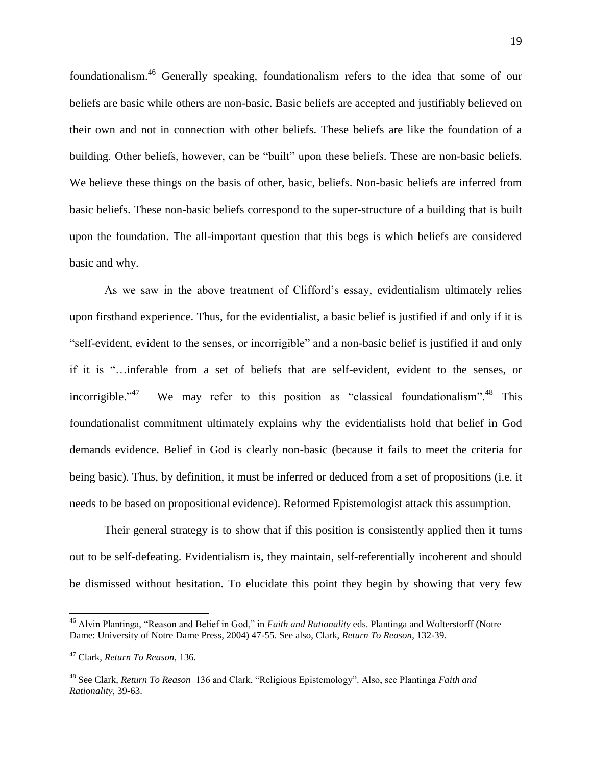foundationalism.<sup>46</sup> Generally speaking, foundationalism refers to the idea that some of our beliefs are basic while others are non-basic. Basic beliefs are accepted and justifiably believed on their own and not in connection with other beliefs. These beliefs are like the foundation of a building. Other beliefs, however, can be "built" upon these beliefs. These are non-basic beliefs. We believe these things on the basis of other, basic, beliefs. Non-basic beliefs are inferred from basic beliefs. These non-basic beliefs correspond to the super-structure of a building that is built upon the foundation. The all-important question that this begs is which beliefs are considered basic and why.

As we saw in the above treatment of Clifford's essay, evidentialism ultimately relies upon firsthand experience. Thus, for the evidentialist, a basic belief is justified if and only if it is "self-evident, evident to the senses, or incorrigible" and a non-basic belief is justified if and only if it is "…inferable from a set of beliefs that are self-evident, evident to the senses, or incorrigible." $47$ We may refer to this position as "classical foundationalism".<sup>48</sup> This foundationalist commitment ultimately explains why the evidentialists hold that belief in God demands evidence. Belief in God is clearly non-basic (because it fails to meet the criteria for being basic). Thus, by definition, it must be inferred or deduced from a set of propositions (i.e. it needs to be based on propositional evidence). Reformed Epistemologist attack this assumption.

Their general strategy is to show that if this position is consistently applied then it turns out to be self-defeating. Evidentialism is, they maintain, self-referentially incoherent and should be dismissed without hesitation. To elucidate this point they begin by showing that very few

<sup>&</sup>lt;sup>46</sup> Alvin Plantinga, "Reason and Belief in God," in *Faith and Rationality* eds. Plantinga and Wolterstorff (Notre Dame: University of Notre Dame Press, 2004) 47-55. See also, Clark, *Return To Reason*, 132-39.

<sup>47</sup> Clark, *Return To Reason,* 136.

<sup>48</sup> See Clark, *Return To Reason* 136 and Clark, "Religious Epistemology". Also, see Plantinga *Faith and Rationality*, 39-63.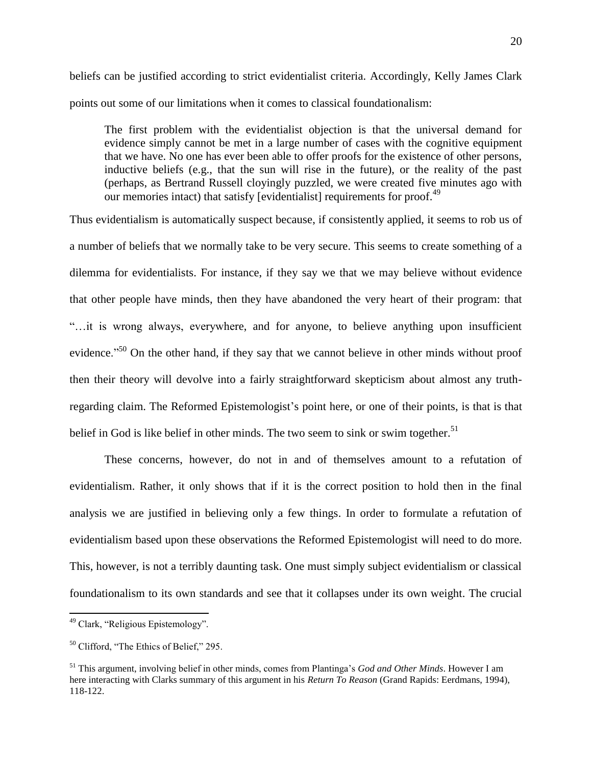beliefs can be justified according to strict evidentialist criteria. Accordingly, Kelly James Clark points out some of our limitations when it comes to classical foundationalism:

The first problem with the evidentialist objection is that the universal demand for evidence simply cannot be met in a large number of cases with the cognitive equipment that we have. No one has ever been able to offer proofs for the existence of other persons, inductive beliefs (e.g., that the sun will rise in the future), or the reality of the past (perhaps, as Bertrand Russell cloyingly puzzled, we were created five minutes ago with our memories intact) that satisfy [evidentialist] requirements for proof.<sup>49</sup>

Thus evidentialism is automatically suspect because, if consistently applied, it seems to rob us of a number of beliefs that we normally take to be very secure. This seems to create something of a dilemma for evidentialists. For instance, if they say we that we may believe without evidence that other people have minds, then they have abandoned the very heart of their program: that "…it is wrong always, everywhere, and for anyone, to believe anything upon insufficient evidence."<sup>50</sup> On the other hand, if they say that we cannot believe in other minds without proof then their theory will devolve into a fairly straightforward skepticism about almost any truthregarding claim. The Reformed Epistemologist's point here, or one of their points, is that is that belief in God is like belief in other minds. The two seem to sink or swim together.<sup>51</sup>

These concerns, however, do not in and of themselves amount to a refutation of evidentialism. Rather, it only shows that if it is the correct position to hold then in the final analysis we are justified in believing only a few things. In order to formulate a refutation of evidentialism based upon these observations the Reformed Epistemologist will need to do more. This, however, is not a terribly daunting task. One must simply subject evidentialism or classical foundationalism to its own standards and see that it collapses under its own weight. The crucial

<sup>&</sup>lt;sup>49</sup> Clark, "Religious Epistemology".

 $50$  Clifford, "The Ethics of Belief," 295.

<sup>51</sup> This argument, involving belief in other minds, comes from Plantinga's *God and Other Minds*. However I am here interacting with Clarks summary of this argument in his *Return To Reason* (Grand Rapids: Eerdmans, 1994), 118-122.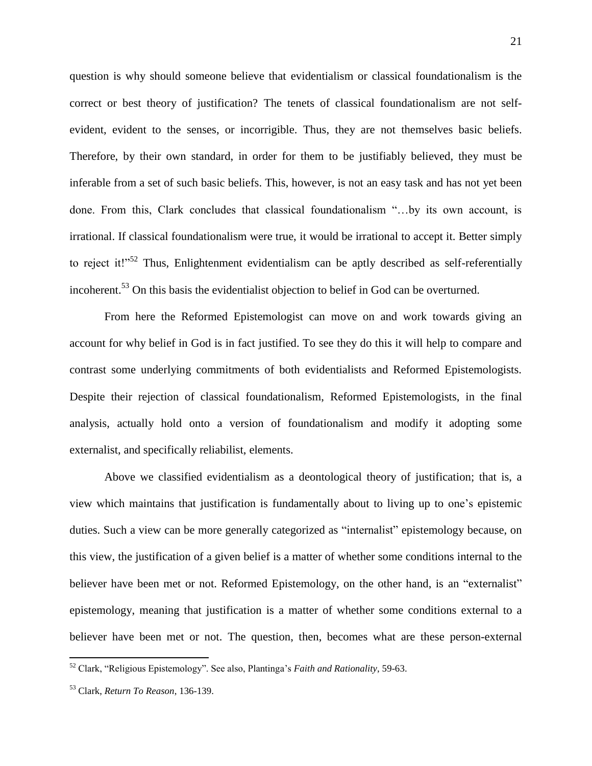question is why should someone believe that evidentialism or classical foundationalism is the correct or best theory of justification? The tenets of classical foundationalism are not selfevident, evident to the senses, or incorrigible. Thus, they are not themselves basic beliefs. Therefore, by their own standard, in order for them to be justifiably believed, they must be inferable from a set of such basic beliefs. This, however, is not an easy task and has not yet been done. From this, Clark concludes that classical foundationalism "…by its own account, is irrational. If classical foundationalism were true, it would be irrational to accept it. Better simply to reject it!"<sup>52</sup> Thus, Enlightenment evidentialism can be aptly described as self-referentially incoherent.<sup>53</sup> On this basis the evidentialist objection to belief in God can be overturned.

From here the Reformed Epistemologist can move on and work towards giving an account for why belief in God is in fact justified. To see they do this it will help to compare and contrast some underlying commitments of both evidentialists and Reformed Epistemologists. Despite their rejection of classical foundationalism, Reformed Epistemologists, in the final analysis, actually hold onto a version of foundationalism and modify it adopting some externalist, and specifically reliabilist, elements.

Above we classified evidentialism as a deontological theory of justification; that is, a view which maintains that justification is fundamentally about to living up to one's epistemic duties. Such a view can be more generally categorized as "internalist" epistemology because, on this view, the justification of a given belief is a matter of whether some conditions internal to the believer have been met or not. Reformed Epistemology, on the other hand, is an "externalist" epistemology, meaning that justification is a matter of whether some conditions external to a believer have been met or not. The question, then, becomes what are these person-external

<sup>52</sup> Clark, "Religious Epistemology". See also, Plantinga's *Faith and Rationality*, 59-63.

<sup>53</sup> Clark, *Return To Reason*, 136-139.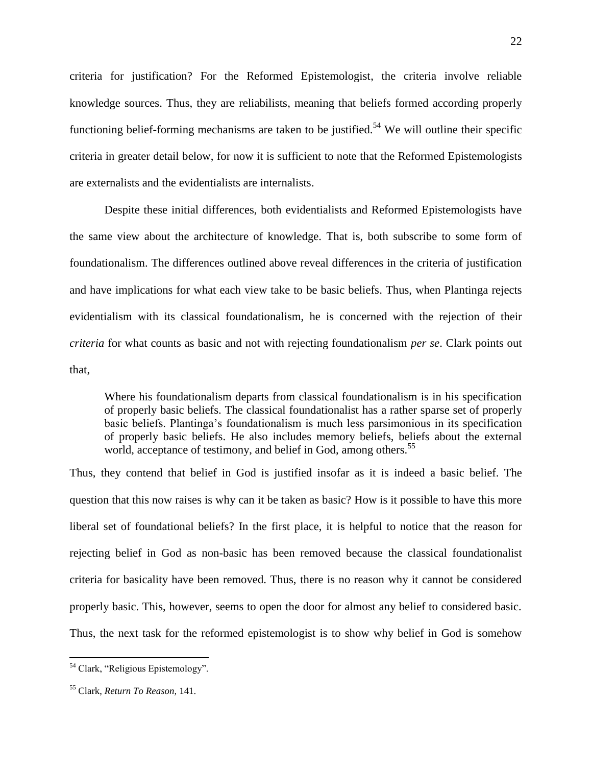criteria for justification? For the Reformed Epistemologist, the criteria involve reliable knowledge sources. Thus, they are reliabilists, meaning that beliefs formed according properly functioning belief-forming mechanisms are taken to be justified.<sup>54</sup> We will outline their specific criteria in greater detail below, for now it is sufficient to note that the Reformed Epistemologists are externalists and the evidentialists are internalists.

Despite these initial differences, both evidentialists and Reformed Epistemologists have the same view about the architecture of knowledge. That is, both subscribe to some form of foundationalism. The differences outlined above reveal differences in the criteria of justification and have implications for what each view take to be basic beliefs. Thus, when Plantinga rejects evidentialism with its classical foundationalism, he is concerned with the rejection of their *criteria* for what counts as basic and not with rejecting foundationalism *per se*. Clark points out that,

Where his foundationalism departs from classical foundationalism is in his specification of properly basic beliefs. The classical foundationalist has a rather sparse set of properly basic beliefs. Plantinga's foundationalism is much less parsimonious in its specification of properly basic beliefs. He also includes memory beliefs, beliefs about the external world, acceptance of testimony, and belief in God, among others.<sup>55</sup>

Thus, they contend that belief in God is justified insofar as it is indeed a basic belief. The question that this now raises is why can it be taken as basic? How is it possible to have this more liberal set of foundational beliefs? In the first place, it is helpful to notice that the reason for rejecting belief in God as non-basic has been removed because the classical foundationalist criteria for basicality have been removed. Thus, there is no reason why it cannot be considered properly basic. This, however, seems to open the door for almost any belief to considered basic. Thus, the next task for the reformed epistemologist is to show why belief in God is somehow

<sup>&</sup>lt;sup>54</sup> Clark, "Religious Epistemology".

<sup>55</sup> Clark, *Return To Reason,* 141.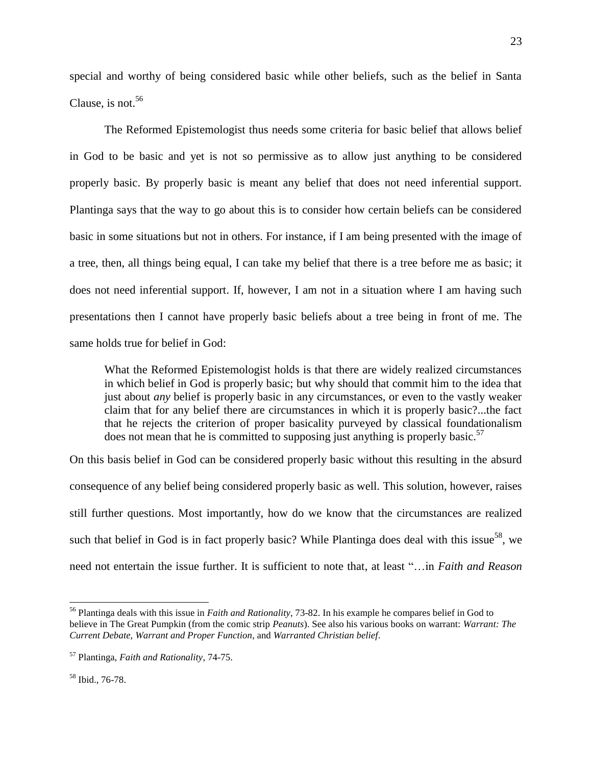special and worthy of being considered basic while other beliefs, such as the belief in Santa Clause, is not.  $56$ 

The Reformed Epistemologist thus needs some criteria for basic belief that allows belief in God to be basic and yet is not so permissive as to allow just anything to be considered properly basic. By properly basic is meant any belief that does not need inferential support. Plantinga says that the way to go about this is to consider how certain beliefs can be considered basic in some situations but not in others. For instance, if I am being presented with the image of a tree, then, all things being equal, I can take my belief that there is a tree before me as basic; it does not need inferential support. If, however, I am not in a situation where I am having such presentations then I cannot have properly basic beliefs about a tree being in front of me. The same holds true for belief in God:

What the Reformed Epistemologist holds is that there are widely realized circumstances in which belief in God is properly basic; but why should that commit him to the idea that just about *any* belief is properly basic in any circumstances, or even to the vastly weaker claim that for any belief there are circumstances in which it is properly basic?...the fact that he rejects the criterion of proper basicality purveyed by classical foundationalism does not mean that he is committed to supposing just anything is properly basic.<sup>57</sup>

On this basis belief in God can be considered properly basic without this resulting in the absurd consequence of any belief being considered properly basic as well. This solution, however, raises still further questions. Most importantly, how do we know that the circumstances are realized such that belief in God is in fact properly basic? While Plantinga does deal with this issue<sup>58</sup>, we need not entertain the issue further. It is sufficient to note that, at least "…in *Faith and Reason*

 $\overline{a}$ 

<sup>56</sup> Plantinga deals with this issue in *Faith and Rationality*, 73-82. In his example he compares belief in God to believe in The Great Pumpkin (from the comic strip *Peanuts*). See also his various books on warrant: *Warrant: The Current Debate*, *Warrant and Proper Function*, and *Warranted Christian belief*.

<sup>57</sup> Plantinga, *Faith and Rationality*, 74-75.

<sup>58</sup> Ibid., 76-78.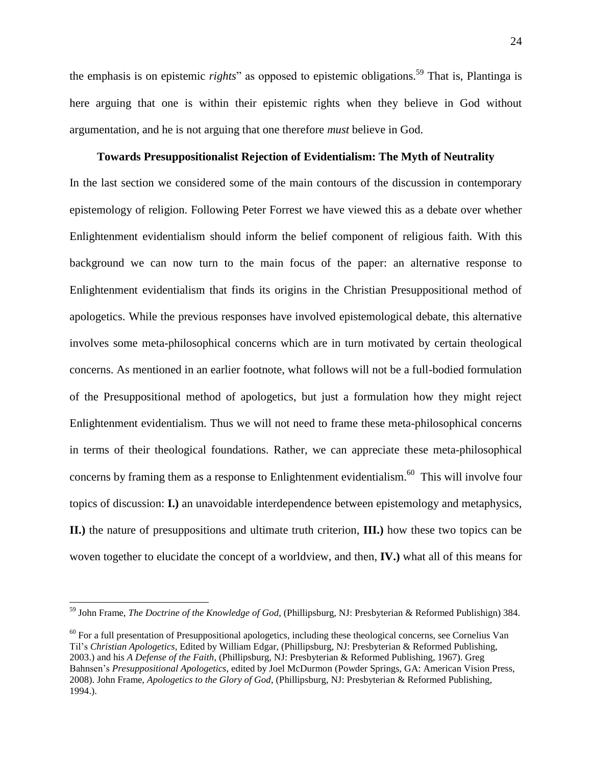the emphasis is on epistemic *rights*" as opposed to epistemic obligations.<sup>59</sup> That is, Plantinga is here arguing that one is within their epistemic rights when they believe in God without argumentation, and he is not arguing that one therefore *must* believe in God.

### **Towards Presuppositionalist Rejection of Evidentialism: The Myth of Neutrality**

In the last section we considered some of the main contours of the discussion in contemporary epistemology of religion. Following Peter Forrest we have viewed this as a debate over whether Enlightenment evidentialism should inform the belief component of religious faith. With this background we can now turn to the main focus of the paper: an alternative response to Enlightenment evidentialism that finds its origins in the Christian Presuppositional method of apologetics. While the previous responses have involved epistemological debate, this alternative involves some meta-philosophical concerns which are in turn motivated by certain theological concerns. As mentioned in an earlier footnote, what follows will not be a full-bodied formulation of the Presuppositional method of apologetics, but just a formulation how they might reject Enlightenment evidentialism. Thus we will not need to frame these meta-philosophical concerns in terms of their theological foundations. Rather, we can appreciate these meta-philosophical concerns by framing them as a response to Enlightenment evidentialism.<sup>60</sup> This will involve four topics of discussion: **I.)** an unavoidable interdependence between epistemology and metaphysics, **II.)** the nature of presuppositions and ultimate truth criterion, **III.)** how these two topics can be woven together to elucidate the concept of a worldview, and then, **IV.)** what all of this means for

 $\overline{a}$ 

<sup>59</sup> John Frame, *The Doctrine of the Knowledge of God*, (Phillipsburg, NJ: Presbyterian & Reformed Publishign) 384.

 $60$  For a full presentation of Presuppositional apologetics, including these theological concerns, see Cornelius Van Til's *Christian Apologetics*, Edited by William Edgar, (Phillipsburg, NJ: Presbyterian & Reformed Publishing, 2003.) and his *A Defense of the Faith*, (Phillipsburg, NJ: Presbyterian & Reformed Publishing, 1967). Greg Bahnsen's *Presuppositional Apologetics*, edited by Joel McDurmon (Powder Springs, GA: American Vision Press, 2008). John Frame, *Apologetics to the Glory of God*, (Phillipsburg, NJ: Presbyterian & Reformed Publishing, 1994.).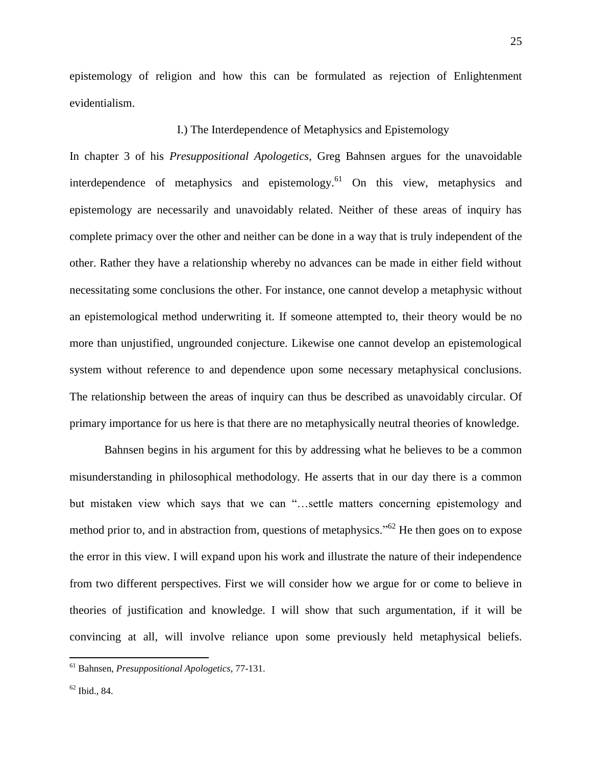epistemology of religion and how this can be formulated as rejection of Enlightenment evidentialism.

## I.) The Interdependence of Metaphysics and Epistemology

In chapter 3 of his *Presuppositional Apologetics*, Greg Bahnsen argues for the unavoidable interdependence of metaphysics and epistemology.<sup>61</sup> On this view, metaphysics and epistemology are necessarily and unavoidably related. Neither of these areas of inquiry has complete primacy over the other and neither can be done in a way that is truly independent of the other. Rather they have a relationship whereby no advances can be made in either field without necessitating some conclusions the other. For instance, one cannot develop a metaphysic without an epistemological method underwriting it. If someone attempted to, their theory would be no more than unjustified, ungrounded conjecture. Likewise one cannot develop an epistemological system without reference to and dependence upon some necessary metaphysical conclusions. The relationship between the areas of inquiry can thus be described as unavoidably circular. Of primary importance for us here is that there are no metaphysically neutral theories of knowledge.

Bahnsen begins in his argument for this by addressing what he believes to be a common misunderstanding in philosophical methodology. He asserts that in our day there is a common but mistaken view which says that we can "…settle matters concerning epistemology and method prior to, and in abstraction from, questions of metaphysics."<sup>62</sup> He then goes on to expose the error in this view. I will expand upon his work and illustrate the nature of their independence from two different perspectives. First we will consider how we argue for or come to believe in theories of justification and knowledge. I will show that such argumentation, if it will be convincing at all, will involve reliance upon some previously held metaphysical beliefs.

<sup>61</sup> Bahnsen, *Presuppositional Apologetics*, 77-131.

 $62$  Ibid., 84.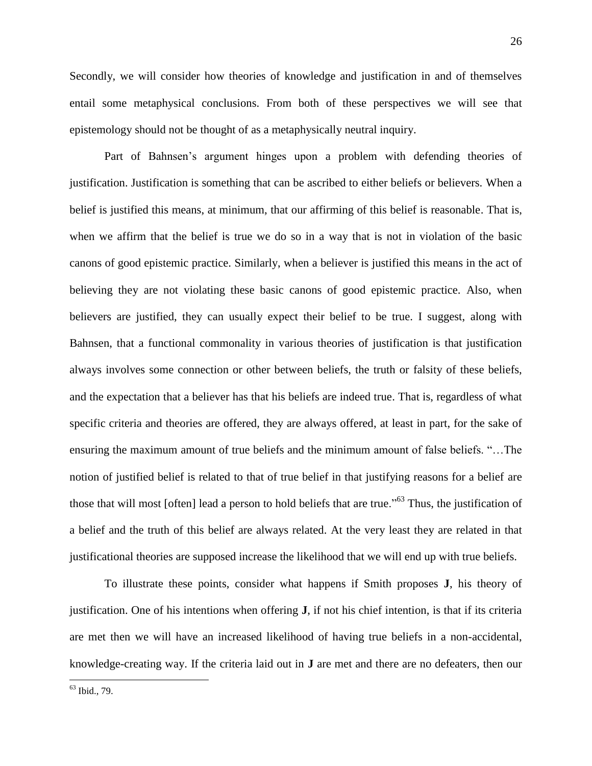Secondly, we will consider how theories of knowledge and justification in and of themselves entail some metaphysical conclusions. From both of these perspectives we will see that epistemology should not be thought of as a metaphysically neutral inquiry.

Part of Bahnsen's argument hinges upon a problem with defending theories of justification. Justification is something that can be ascribed to either beliefs or believers. When a belief is justified this means, at minimum, that our affirming of this belief is reasonable. That is, when we affirm that the belief is true we do so in a way that is not in violation of the basic canons of good epistemic practice. Similarly, when a believer is justified this means in the act of believing they are not violating these basic canons of good epistemic practice. Also, when believers are justified, they can usually expect their belief to be true. I suggest, along with Bahnsen, that a functional commonality in various theories of justification is that justification always involves some connection or other between beliefs, the truth or falsity of these beliefs, and the expectation that a believer has that his beliefs are indeed true. That is, regardless of what specific criteria and theories are offered, they are always offered, at least in part, for the sake of ensuring the maximum amount of true beliefs and the minimum amount of false beliefs. "…The notion of justified belief is related to that of true belief in that justifying reasons for a belief are those that will most [often] lead a person to hold beliefs that are true."<sup>63</sup> Thus, the justification of a belief and the truth of this belief are always related. At the very least they are related in that justificational theories are supposed increase the likelihood that we will end up with true beliefs.

To illustrate these points, consider what happens if Smith proposes **J**, his theory of justification. One of his intentions when offering **J**, if not his chief intention, is that if its criteria are met then we will have an increased likelihood of having true beliefs in a non-accidental, knowledge-creating way. If the criteria laid out in **J** are met and there are no defeaters, then our

<sup>63</sup> Ibid., 79.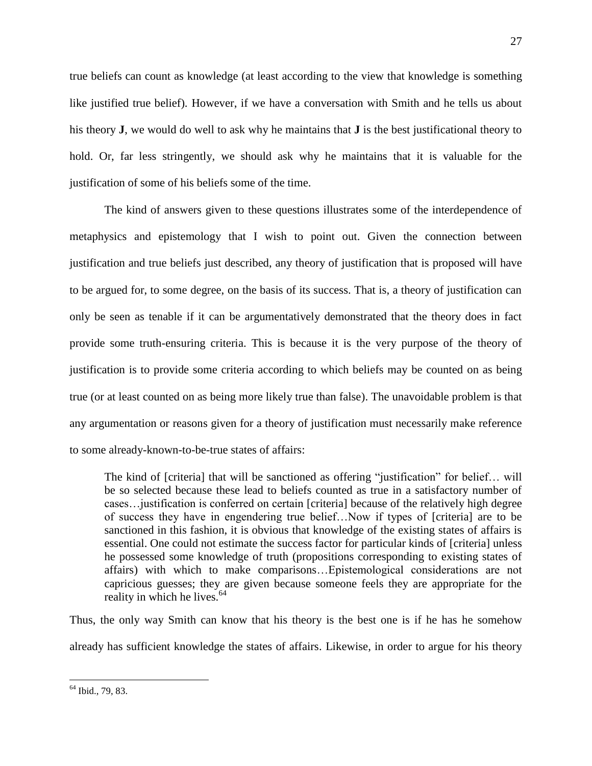true beliefs can count as knowledge (at least according to the view that knowledge is something like justified true belief). However, if we have a conversation with Smith and he tells us about his theory **J**, we would do well to ask why he maintains that **J** is the best justificational theory to hold. Or, far less stringently, we should ask why he maintains that it is valuable for the justification of some of his beliefs some of the time.

The kind of answers given to these questions illustrates some of the interdependence of metaphysics and epistemology that I wish to point out. Given the connection between justification and true beliefs just described, any theory of justification that is proposed will have to be argued for, to some degree, on the basis of its success. That is, a theory of justification can only be seen as tenable if it can be argumentatively demonstrated that the theory does in fact provide some truth-ensuring criteria. This is because it is the very purpose of the theory of justification is to provide some criteria according to which beliefs may be counted on as being true (or at least counted on as being more likely true than false). The unavoidable problem is that any argumentation or reasons given for a theory of justification must necessarily make reference to some already-known-to-be-true states of affairs:

The kind of [criteria] that will be sanctioned as offering "justification" for belief… will be so selected because these lead to beliefs counted as true in a satisfactory number of cases…justification is conferred on certain [criteria] because of the relatively high degree of success they have in engendering true belief…Now if types of [criteria] are to be sanctioned in this fashion, it is obvious that knowledge of the existing states of affairs is essential. One could not estimate the success factor for particular kinds of [criteria] unless he possessed some knowledge of truth (propositions corresponding to existing states of affairs) with which to make comparisons…Epistemological considerations are not capricious guesses; they are given because someone feels they are appropriate for the reality in which he lives. $64$ 

Thus, the only way Smith can know that his theory is the best one is if he has he somehow already has sufficient knowledge the states of affairs. Likewise, in order to argue for his theory

<sup>27</sup>

<sup>&</sup>lt;sup>64</sup> Ibid., 79, 83.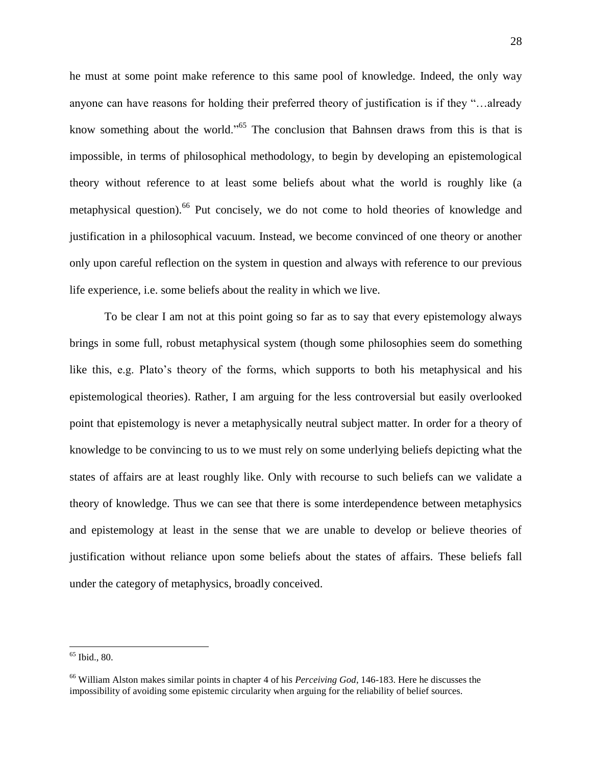he must at some point make reference to this same pool of knowledge. Indeed, the only way anyone can have reasons for holding their preferred theory of justification is if they "…already know something about the world."<sup>65</sup> The conclusion that Bahnsen draws from this is that is impossible, in terms of philosophical methodology, to begin by developing an epistemological theory without reference to at least some beliefs about what the world is roughly like (a metaphysical question). <sup>66</sup> Put concisely, we do not come to hold theories of knowledge and justification in a philosophical vacuum. Instead, we become convinced of one theory or another only upon careful reflection on the system in question and always with reference to our previous life experience, i.e. some beliefs about the reality in which we live.

To be clear I am not at this point going so far as to say that every epistemology always brings in some full, robust metaphysical system (though some philosophies seem do something like this, e.g. Plato's theory of the forms, which supports to both his metaphysical and his epistemological theories). Rather, I am arguing for the less controversial but easily overlooked point that epistemology is never a metaphysically neutral subject matter. In order for a theory of knowledge to be convincing to us to we must rely on some underlying beliefs depicting what the states of affairs are at least roughly like. Only with recourse to such beliefs can we validate a theory of knowledge. Thus we can see that there is some interdependence between metaphysics and epistemology at least in the sense that we are unable to develop or believe theories of justification without reliance upon some beliefs about the states of affairs. These beliefs fall under the category of metaphysics, broadly conceived.

<sup>65</sup> Ibid., 80.

<sup>66</sup> William Alston makes similar points in chapter 4 of his *Perceiving God*, 146-183. Here he discusses the impossibility of avoiding some epistemic circularity when arguing for the reliability of belief sources.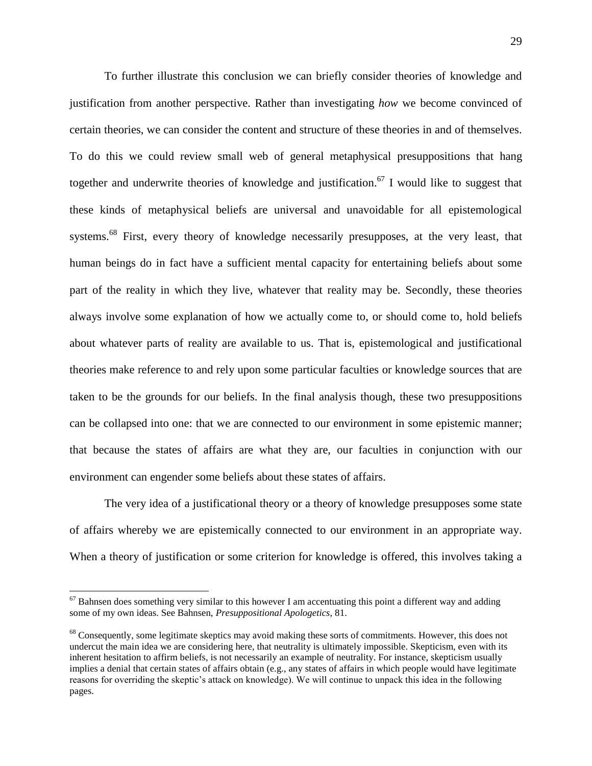To further illustrate this conclusion we can briefly consider theories of knowledge and justification from another perspective. Rather than investigating *how* we become convinced of certain theories, we can consider the content and structure of these theories in and of themselves. To do this we could review small web of general metaphysical presuppositions that hang together and underwrite theories of knowledge and justification.<sup>67</sup> I would like to suggest that these kinds of metaphysical beliefs are universal and unavoidable for all epistemological systems.<sup>68</sup> First, every theory of knowledge necessarily presupposes, at the very least, that human beings do in fact have a sufficient mental capacity for entertaining beliefs about some part of the reality in which they live, whatever that reality may be. Secondly, these theories always involve some explanation of how we actually come to, or should come to, hold beliefs about whatever parts of reality are available to us. That is, epistemological and justificational theories make reference to and rely upon some particular faculties or knowledge sources that are taken to be the grounds for our beliefs. In the final analysis though, these two presuppositions can be collapsed into one: that we are connected to our environment in some epistemic manner; that because the states of affairs are what they are, our faculties in conjunction with our environment can engender some beliefs about these states of affairs.

The very idea of a justificational theory or a theory of knowledge presupposes some state of affairs whereby we are epistemically connected to our environment in an appropriate way. When a theory of justification or some criterion for knowledge is offered, this involves taking a

 $67$  Bahnsen does something very similar to this however I am accentuating this point a different way and adding some of my own ideas. See Bahnsen, *Presuppositional Apologetics*, 81.

<sup>&</sup>lt;sup>68</sup> Consequently, some legitimate skeptics may avoid making these sorts of commitments. However, this does not undercut the main idea we are considering here, that neutrality is ultimately impossible. Skepticism, even with its inherent hesitation to affirm beliefs, is not necessarily an example of neutrality. For instance, skepticism usually implies a denial that certain states of affairs obtain (e.g., any states of affairs in which people would have legitimate reasons for overriding the skeptic's attack on knowledge). We will continue to unpack this idea in the following pages.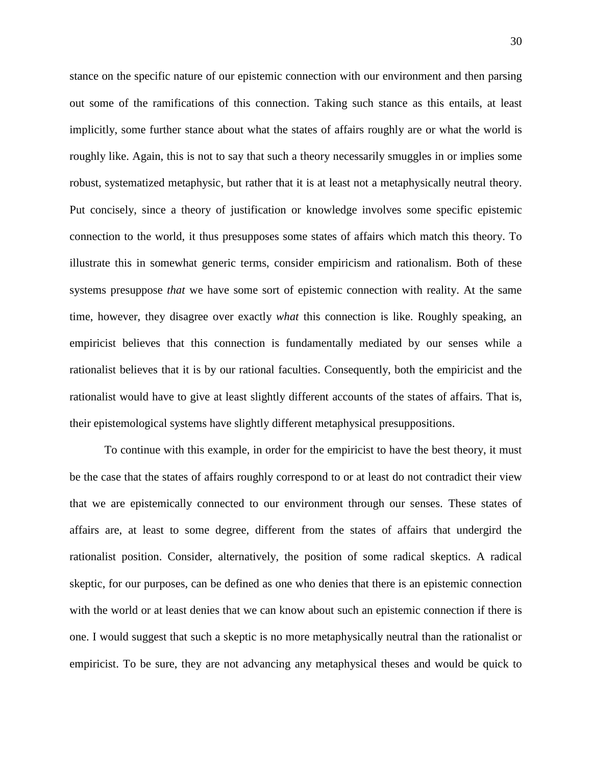stance on the specific nature of our epistemic connection with our environment and then parsing out some of the ramifications of this connection. Taking such stance as this entails, at least implicitly, some further stance about what the states of affairs roughly are or what the world is roughly like. Again, this is not to say that such a theory necessarily smuggles in or implies some robust, systematized metaphysic, but rather that it is at least not a metaphysically neutral theory. Put concisely, since a theory of justification or knowledge involves some specific epistemic connection to the world, it thus presupposes some states of affairs which match this theory. To illustrate this in somewhat generic terms, consider empiricism and rationalism. Both of these systems presuppose *that* we have some sort of epistemic connection with reality. At the same time, however, they disagree over exactly *what* this connection is like. Roughly speaking, an empiricist believes that this connection is fundamentally mediated by our senses while a rationalist believes that it is by our rational faculties. Consequently, both the empiricist and the rationalist would have to give at least slightly different accounts of the states of affairs. That is, their epistemological systems have slightly different metaphysical presuppositions.

To continue with this example, in order for the empiricist to have the best theory, it must be the case that the states of affairs roughly correspond to or at least do not contradict their view that we are epistemically connected to our environment through our senses. These states of affairs are, at least to some degree, different from the states of affairs that undergird the rationalist position. Consider, alternatively, the position of some radical skeptics. A radical skeptic, for our purposes, can be defined as one who denies that there is an epistemic connection with the world or at least denies that we can know about such an epistemic connection if there is one. I would suggest that such a skeptic is no more metaphysically neutral than the rationalist or empiricist. To be sure, they are not advancing any metaphysical theses and would be quick to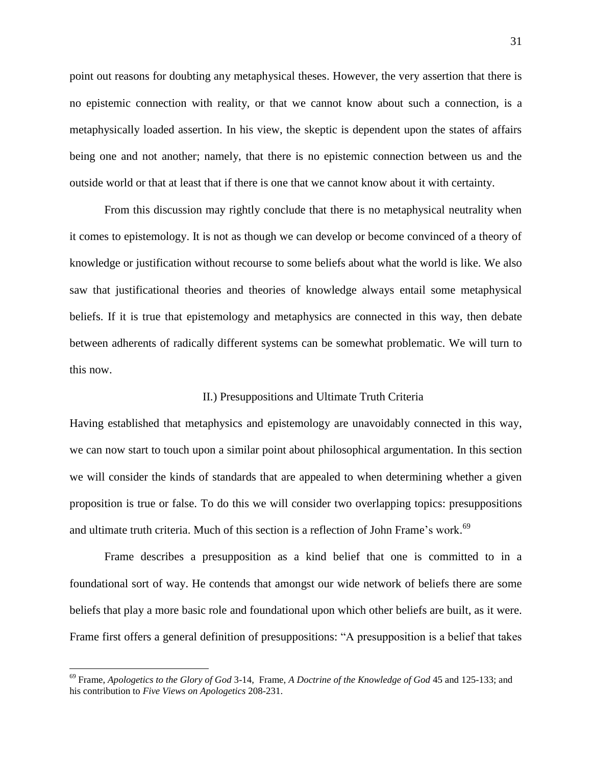point out reasons for doubting any metaphysical theses. However, the very assertion that there is no epistemic connection with reality, or that we cannot know about such a connection, is a metaphysically loaded assertion. In his view, the skeptic is dependent upon the states of affairs being one and not another; namely, that there is no epistemic connection between us and the outside world or that at least that if there is one that we cannot know about it with certainty.

From this discussion may rightly conclude that there is no metaphysical neutrality when it comes to epistemology. It is not as though we can develop or become convinced of a theory of knowledge or justification without recourse to some beliefs about what the world is like. We also saw that justificational theories and theories of knowledge always entail some metaphysical beliefs. If it is true that epistemology and metaphysics are connected in this way, then debate between adherents of radically different systems can be somewhat problematic. We will turn to this now.

#### II.) Presuppositions and Ultimate Truth Criteria

Having established that metaphysics and epistemology are unavoidably connected in this way, we can now start to touch upon a similar point about philosophical argumentation. In this section we will consider the kinds of standards that are appealed to when determining whether a given proposition is true or false. To do this we will consider two overlapping topics: presuppositions and ultimate truth criteria. Much of this section is a reflection of John Frame's work.<sup>69</sup>

Frame describes a presupposition as a kind belief that one is committed to in a foundational sort of way. He contends that amongst our wide network of beliefs there are some beliefs that play a more basic role and foundational upon which other beliefs are built, as it were. Frame first offers a general definition of presuppositions: "A presupposition is a belief that takes

<sup>69</sup> Frame, *Apologetics to the Glory of God* 3-14, Frame, *A Doctrine of the Knowledge of God* 45 and 125-133; and his contribution to *Five Views on Apologetics* 208-231.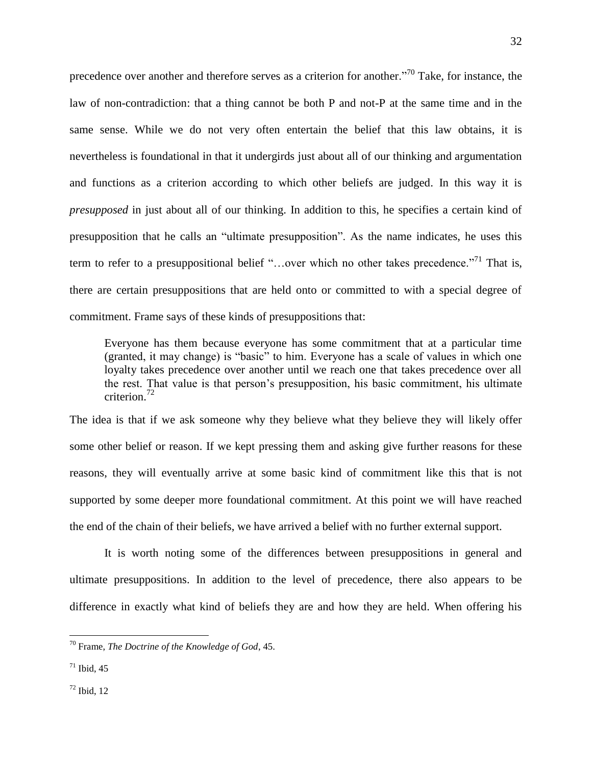precedence over another and therefore serves as a criterion for another."<sup>70</sup> Take, for instance, the law of non-contradiction: that a thing cannot be both P and not-P at the same time and in the same sense. While we do not very often entertain the belief that this law obtains, it is nevertheless is foundational in that it undergirds just about all of our thinking and argumentation and functions as a criterion according to which other beliefs are judged. In this way it is *presupposed* in just about all of our thinking. In addition to this, he specifies a certain kind of presupposition that he calls an "ultimate presupposition". As the name indicates, he uses this term to refer to a presuppositional belief "...over which no other takes precedence."<sup>71</sup> That is, there are certain presuppositions that are held onto or committed to with a special degree of commitment. Frame says of these kinds of presuppositions that:

Everyone has them because everyone has some commitment that at a particular time (granted, it may change) is "basic" to him. Everyone has a scale of values in which one loyalty takes precedence over another until we reach one that takes precedence over all the rest. That value is that person's presupposition, his basic commitment, his ultimate criterion.<sup>72</sup>

The idea is that if we ask someone why they believe what they believe they will likely offer some other belief or reason. If we kept pressing them and asking give further reasons for these reasons, they will eventually arrive at some basic kind of commitment like this that is not supported by some deeper more foundational commitment. At this point we will have reached the end of the chain of their beliefs, we have arrived a belief with no further external support.

It is worth noting some of the differences between presuppositions in general and ultimate presuppositions. In addition to the level of precedence, there also appears to be difference in exactly what kind of beliefs they are and how they are held. When offering his

 $\overline{a}$ 

<sup>70</sup> Frame, *The Doctrine of the Knowledge of God*, 45.

 $71$  Ibid, 45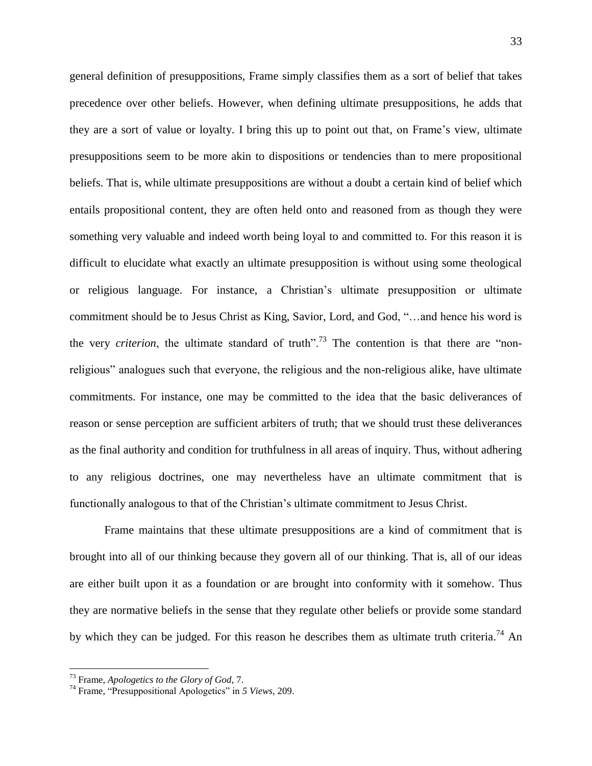general definition of presuppositions, Frame simply classifies them as a sort of belief that takes precedence over other beliefs. However, when defining ultimate presuppositions, he adds that they are a sort of value or loyalty. I bring this up to point out that, on Frame's view, ultimate presuppositions seem to be more akin to dispositions or tendencies than to mere propositional beliefs. That is, while ultimate presuppositions are without a doubt a certain kind of belief which entails propositional content, they are often held onto and reasoned from as though they were something very valuable and indeed worth being loyal to and committed to. For this reason it is difficult to elucidate what exactly an ultimate presupposition is without using some theological or religious language. For instance, a Christian's ultimate presupposition or ultimate commitment should be to Jesus Christ as King, Savior, Lord, and God, "…and hence his word is the very *criterion*, the ultimate standard of truth".<sup>73</sup> The contention is that there are "nonreligious" analogues such that everyone, the religious and the non-religious alike, have ultimate commitments. For instance, one may be committed to the idea that the basic deliverances of reason or sense perception are sufficient arbiters of truth; that we should trust these deliverances as the final authority and condition for truthfulness in all areas of inquiry. Thus, without adhering to any religious doctrines, one may nevertheless have an ultimate commitment that is functionally analogous to that of the Christian's ultimate commitment to Jesus Christ.

Frame maintains that these ultimate presuppositions are a kind of commitment that is brought into all of our thinking because they govern all of our thinking. That is, all of our ideas are either built upon it as a foundation or are brought into conformity with it somehow. Thus they are normative beliefs in the sense that they regulate other beliefs or provide some standard by which they can be judged. For this reason he describes them as ultimate truth criteria.<sup>74</sup> An

<sup>73</sup> Frame, *Apologetics to the Glory of God*, 7.

<sup>74</sup> Frame, "Presuppositional Apologetics" in *5 Views*, 209.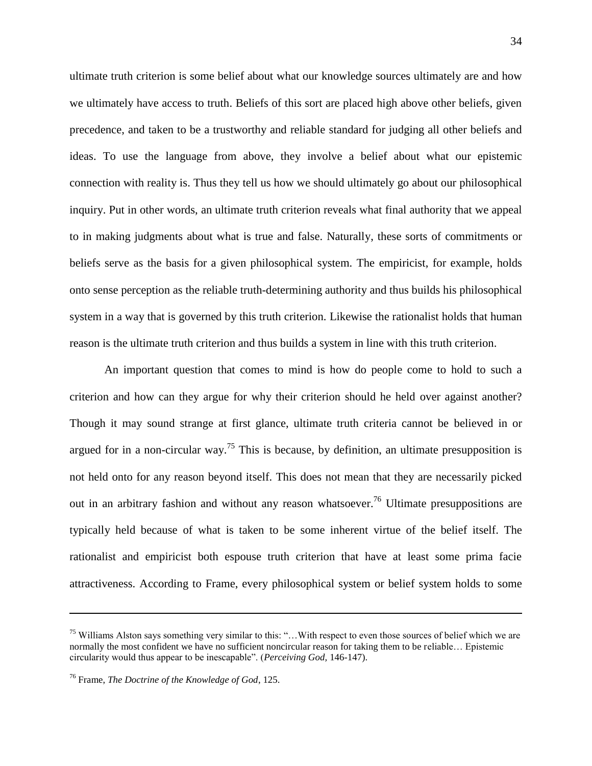ultimate truth criterion is some belief about what our knowledge sources ultimately are and how we ultimately have access to truth. Beliefs of this sort are placed high above other beliefs, given precedence, and taken to be a trustworthy and reliable standard for judging all other beliefs and ideas. To use the language from above, they involve a belief about what our epistemic connection with reality is. Thus they tell us how we should ultimately go about our philosophical inquiry. Put in other words, an ultimate truth criterion reveals what final authority that we appeal to in making judgments about what is true and false. Naturally, these sorts of commitments or beliefs serve as the basis for a given philosophical system. The empiricist, for example, holds onto sense perception as the reliable truth-determining authority and thus builds his philosophical system in a way that is governed by this truth criterion. Likewise the rationalist holds that human reason is the ultimate truth criterion and thus builds a system in line with this truth criterion.

An important question that comes to mind is how do people come to hold to such a criterion and how can they argue for why their criterion should he held over against another? Though it may sound strange at first glance, ultimate truth criteria cannot be believed in or argued for in a non-circular way.<sup>75</sup> This is because, by definition, an ultimate presupposition is not held onto for any reason beyond itself. This does not mean that they are necessarily picked out in an arbitrary fashion and without any reason whatsoever.<sup>76</sup> Ultimate presuppositions are typically held because of what is taken to be some inherent virtue of the belief itself. The rationalist and empiricist both espouse truth criterion that have at least some prima facie attractiveness. According to Frame, every philosophical system or belief system holds to some

<sup>75</sup> Williams Alston says something very similar to this: "…With respect to even those sources of belief which we are normally the most confident we have no sufficient noncircular reason for taking them to be reliable… Epistemic circularity would thus appear to be inescapable". (*Perceiving God,* 146-147).

<sup>76</sup> Frame, *The Doctrine of the Knowledge of God*, 125.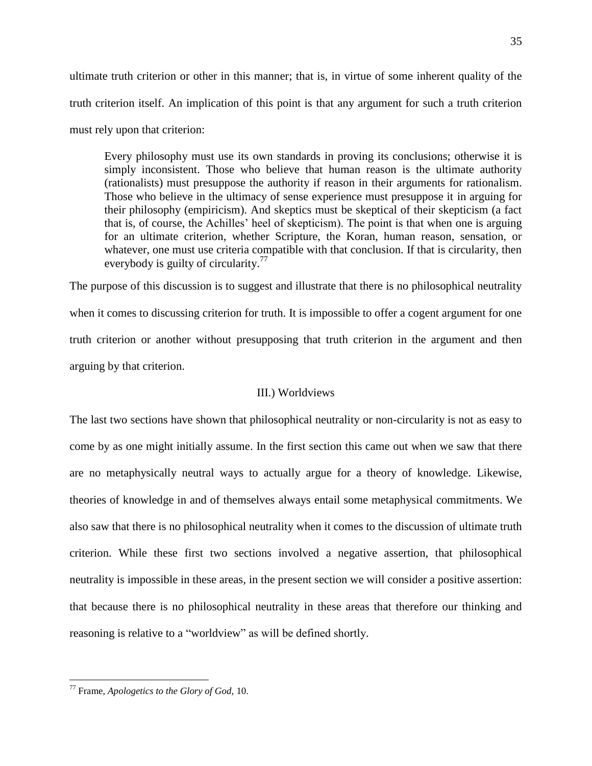ultimate truth criterion or other in this manner; that is, in virtue of some inherent quality of the truth criterion itself. An implication of this point is that any argument for such a truth criterion must rely upon that criterion:

Every philosophy must use its own standards in proving its conclusions; otherwise it is simply inconsistent. Those who believe that human reason is the ultimate authority (rationalists) must presuppose the authority if reason in their arguments for rationalism. Those who believe in the ultimacy of sense experience must presuppose it in arguing for their philosophy (empiricism). And skeptics must be skeptical of their skepticism (a fact that is, of course, the Achilles' heel of skepticism). The point is that when one is arguing for an ultimate criterion, whether Scripture, the Koran, human reason, sensation, or whatever, one must use criteria compatible with that conclusion. If that is circularity, then everybody is guilty of circularity.<sup>77</sup>

The purpose of this discussion is to suggest and illustrate that there is no philosophical neutrality when it comes to discussing criterion for truth. It is impossible to offer a cogent argument for one truth criterion or another without presupposing that truth criterion in the argument and then arguing by that criterion.

## III.) Worldviews

The last two sections have shown that philosophical neutrality or non-circularity is not as easy to come by as one might initially assume. In the first section this came out when we saw that there are no metaphysically neutral ways to actually argue for a theory of knowledge. Likewise, theories of knowledge in and of themselves always entail some metaphysical commitments. We also saw that there is no philosophical neutrality when it comes to the discussion of ultimate truth criterion. While these first two sections involved a negative assertion, that philosophical neutrality is impossible in these areas, in the present section we will consider a positive assertion: that because there is no philosophical neutrality in these areas that therefore our thinking and reasoning is relative to a "worldview" as will be defined shortly.

<sup>77</sup> Frame, *Apologetics to the Glory of God,* 10.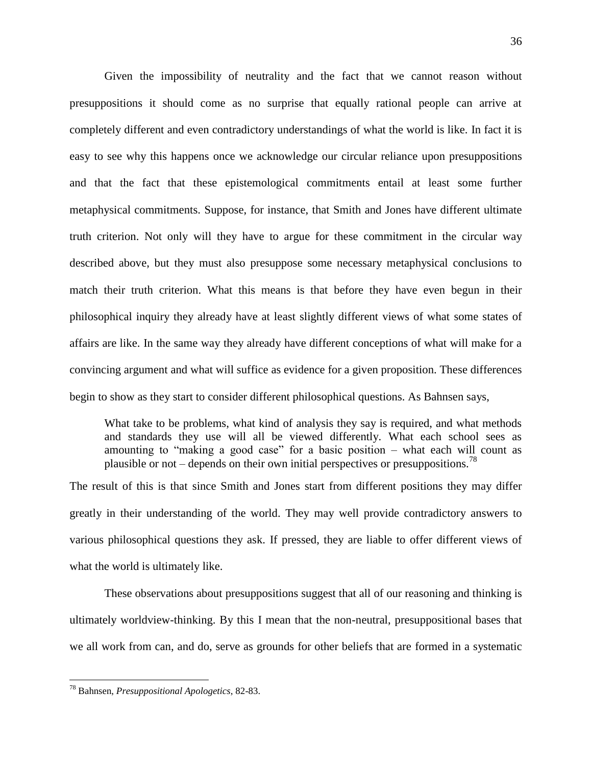Given the impossibility of neutrality and the fact that we cannot reason without presuppositions it should come as no surprise that equally rational people can arrive at completely different and even contradictory understandings of what the world is like. In fact it is easy to see why this happens once we acknowledge our circular reliance upon presuppositions and that the fact that these epistemological commitments entail at least some further metaphysical commitments. Suppose, for instance, that Smith and Jones have different ultimate truth criterion. Not only will they have to argue for these commitment in the circular way described above, but they must also presuppose some necessary metaphysical conclusions to match their truth criterion. What this means is that before they have even begun in their philosophical inquiry they already have at least slightly different views of what some states of affairs are like. In the same way they already have different conceptions of what will make for a convincing argument and what will suffice as evidence for a given proposition. These differences begin to show as they start to consider different philosophical questions. As Bahnsen says,

What take to be problems, what kind of analysis they say is required, and what methods and standards they use will all be viewed differently. What each school sees as amounting to "making a good case" for a basic position – what each will count as plausible or not – depends on their own initial perspectives or presuppositions.<sup>78</sup>

The result of this is that since Smith and Jones start from different positions they may differ greatly in their understanding of the world. They may well provide contradictory answers to various philosophical questions they ask. If pressed, they are liable to offer different views of what the world is ultimately like.

These observations about presuppositions suggest that all of our reasoning and thinking is ultimately worldview-thinking. By this I mean that the non-neutral, presuppositional bases that we all work from can, and do, serve as grounds for other beliefs that are formed in a systematic

<sup>78</sup> Bahnsen, *Presuppositional Apologetics*, 82-83.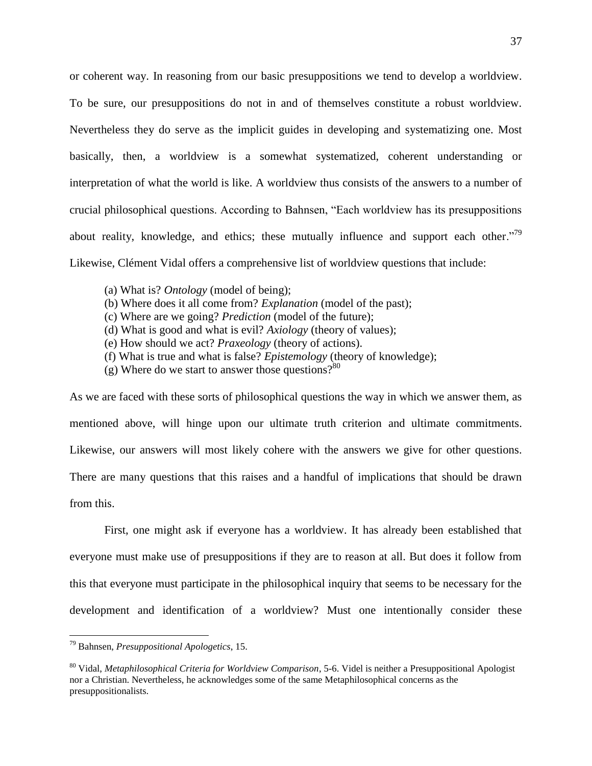or coherent way. In reasoning from our basic presuppositions we tend to develop a worldview. To be sure, our presuppositions do not in and of themselves constitute a robust worldview. Nevertheless they do serve as the implicit guides in developing and systematizing one. Most basically, then, a worldview is a somewhat systematized, coherent understanding or interpretation of what the world is like. A worldview thus consists of the answers to a number of crucial philosophical questions. According to Bahnsen, "Each worldview has its presuppositions about reality, knowledge, and ethics; these mutually influence and support each other.<sup>79</sup> Likewise, Clément Vidal offers a comprehensive list of worldview questions that include:

- (a) What is? *Ontology* (model of being);
- (b) Where does it all come from? *Explanation* (model of the past);
- (c) Where are we going? *Prediction* (model of the future);
- (d) What is good and what is evil? *Axiology* (theory of values);
- (e) How should we act? *Praxeology* (theory of actions).
- (f) What is true and what is false? *Epistemology* (theory of knowledge);
- (g) Where do we start to answer those questions? $80$

As we are faced with these sorts of philosophical questions the way in which we answer them, as mentioned above, will hinge upon our ultimate truth criterion and ultimate commitments. Likewise, our answers will most likely cohere with the answers we give for other questions. There are many questions that this raises and a handful of implications that should be drawn from this.

First, one might ask if everyone has a worldview. It has already been established that everyone must make use of presuppositions if they are to reason at all. But does it follow from this that everyone must participate in the philosophical inquiry that seems to be necessary for the development and identification of a worldview? Must one intentionally consider these

 $\overline{a}$ 

<sup>79</sup> Bahnsen, *Presuppositional Apologetics*, 15.

<sup>80</sup> Vidal, *Metaphilosophical Criteria for Worldview Comparison*, 5-6. Videl is neither a Presuppositional Apologist nor a Christian. Nevertheless, he acknowledges some of the same Metaphilosophical concerns as the presuppositionalists.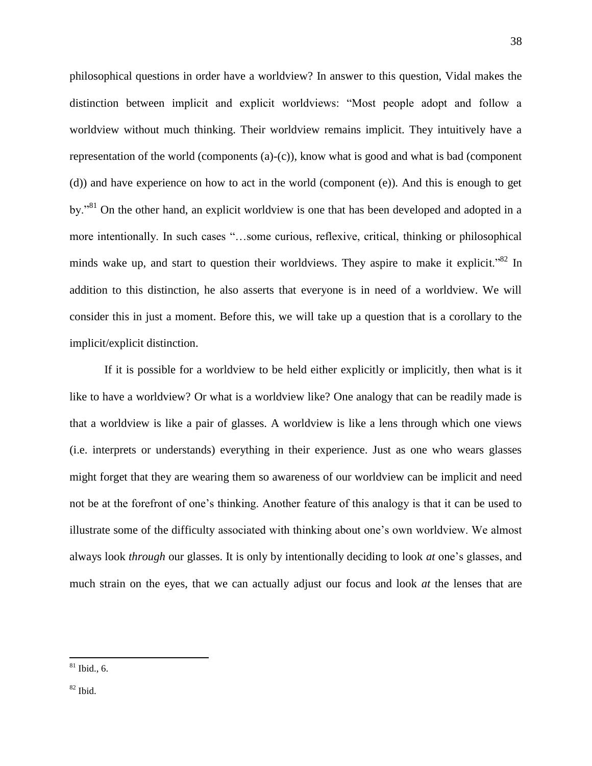philosophical questions in order have a worldview? In answer to this question, Vidal makes the distinction between implicit and explicit worldviews: "Most people adopt and follow a worldview without much thinking. Their worldview remains implicit. They intuitively have a representation of the world (components  $(a)-(c)$ ), know what is good and what is bad (component (d)) and have experience on how to act in the world (component (e)). And this is enough to get by."<sup>81</sup> On the other hand, an explicit worldview is one that has been developed and adopted in a more intentionally. In such cases "…some curious, reflexive, critical, thinking or philosophical minds wake up, and start to question their worldviews. They aspire to make it explicit.<sup>82</sup> In addition to this distinction, he also asserts that everyone is in need of a worldview. We will consider this in just a moment. Before this, we will take up a question that is a corollary to the implicit/explicit distinction.

If it is possible for a worldview to be held either explicitly or implicitly, then what is it like to have a worldview? Or what is a worldview like? One analogy that can be readily made is that a worldview is like a pair of glasses. A worldview is like a lens through which one views (i.e. interprets or understands) everything in their experience. Just as one who wears glasses might forget that they are wearing them so awareness of our worldview can be implicit and need not be at the forefront of one's thinking. Another feature of this analogy is that it can be used to illustrate some of the difficulty associated with thinking about one's own worldview. We almost always look *through* our glasses. It is only by intentionally deciding to look *at* one's glasses, and much strain on the eyes, that we can actually adjust our focus and look *at* the lenses that are

38

 $82$  Ibid.

 $81$  Ibid., 6.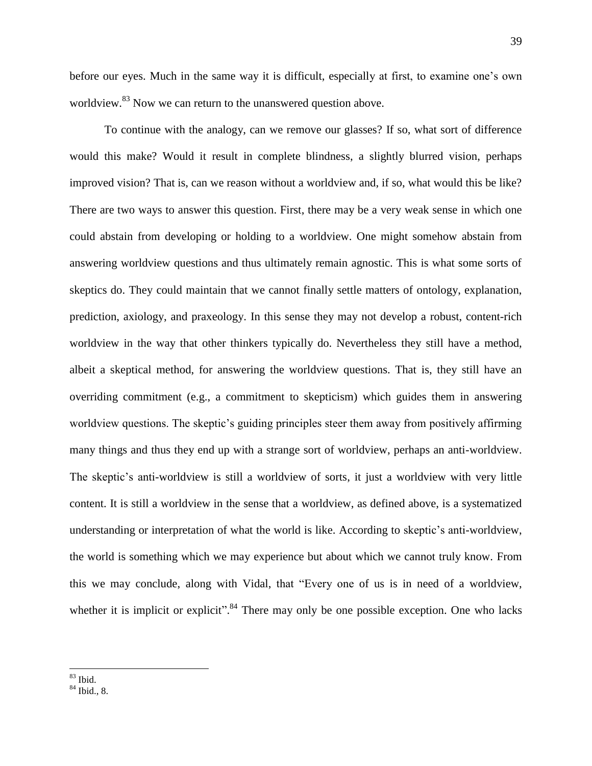before our eyes. Much in the same way it is difficult, especially at first, to examine one's own worldview.<sup>83</sup> Now we can return to the unanswered question above.

To continue with the analogy, can we remove our glasses? If so, what sort of difference would this make? Would it result in complete blindness, a slightly blurred vision, perhaps improved vision? That is, can we reason without a worldview and, if so, what would this be like? There are two ways to answer this question. First, there may be a very weak sense in which one could abstain from developing or holding to a worldview. One might somehow abstain from answering worldview questions and thus ultimately remain agnostic. This is what some sorts of skeptics do. They could maintain that we cannot finally settle matters of ontology, explanation, prediction, axiology, and praxeology. In this sense they may not develop a robust, content-rich worldview in the way that other thinkers typically do. Nevertheless they still have a method, albeit a skeptical method, for answering the worldview questions. That is, they still have an overriding commitment (e.g., a commitment to skepticism) which guides them in answering worldview questions. The skeptic's guiding principles steer them away from positively affirming many things and thus they end up with a strange sort of worldview, perhaps an anti-worldview. The skeptic's anti-worldview is still a worldview of sorts, it just a worldview with very little content. It is still a worldview in the sense that a worldview, as defined above, is a systematized understanding or interpretation of what the world is like. According to skeptic's anti-worldview, the world is something which we may experience but about which we cannot truly know. From this we may conclude, along with Vidal, that "Every one of us is in need of a worldview, whether it is implicit or explicit".<sup>84</sup> There may only be one possible exception. One who lacks

 $\overline{\phantom{a}}$  $83$  Ibid.

<sup>84</sup> Ibid., 8.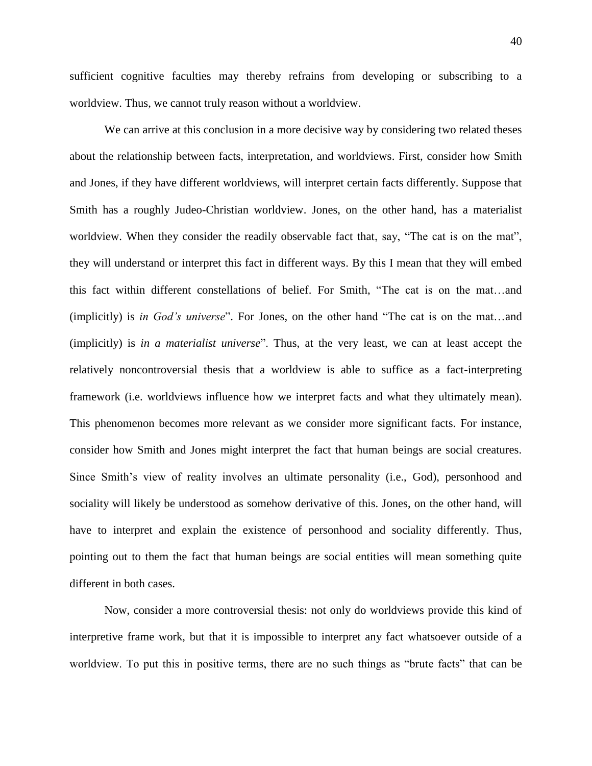sufficient cognitive faculties may thereby refrains from developing or subscribing to a worldview. Thus, we cannot truly reason without a worldview.

We can arrive at this conclusion in a more decisive way by considering two related theses about the relationship between facts, interpretation, and worldviews. First, consider how Smith and Jones, if they have different worldviews, will interpret certain facts differently. Suppose that Smith has a roughly Judeo-Christian worldview. Jones, on the other hand, has a materialist worldview. When they consider the readily observable fact that, say, "The cat is on the mat", they will understand or interpret this fact in different ways. By this I mean that they will embed this fact within different constellations of belief. For Smith, "The cat is on the mat…and (implicitly) is *in God's universe*". For Jones, on the other hand "The cat is on the mat…and (implicitly) is *in a materialist universe*". Thus, at the very least, we can at least accept the relatively noncontroversial thesis that a worldview is able to suffice as a fact-interpreting framework (i.e. worldviews influence how we interpret facts and what they ultimately mean). This phenomenon becomes more relevant as we consider more significant facts. For instance, consider how Smith and Jones might interpret the fact that human beings are social creatures. Since Smith's view of reality involves an ultimate personality (i.e., God), personhood and sociality will likely be understood as somehow derivative of this. Jones, on the other hand, will have to interpret and explain the existence of personhood and sociality differently. Thus, pointing out to them the fact that human beings are social entities will mean something quite different in both cases.

Now, consider a more controversial thesis: not only do worldviews provide this kind of interpretive frame work, but that it is impossible to interpret any fact whatsoever outside of a worldview. To put this in positive terms, there are no such things as "brute facts" that can be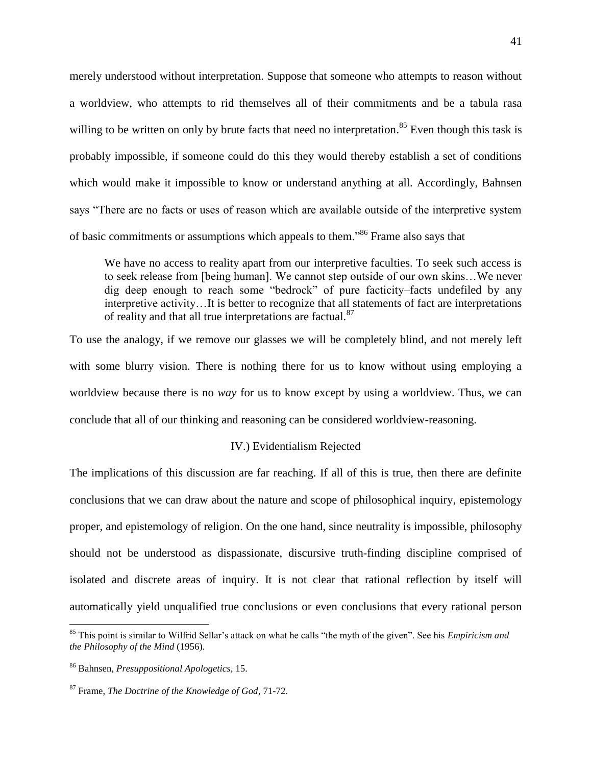merely understood without interpretation. Suppose that someone who attempts to reason without a worldview, who attempts to rid themselves all of their commitments and be a tabula rasa willing to be written on only by brute facts that need no interpretation.<sup>85</sup> Even though this task is probably impossible, if someone could do this they would thereby establish a set of conditions which would make it impossible to know or understand anything at all. Accordingly, Bahnsen says "There are no facts or uses of reason which are available outside of the interpretive system of basic commitments or assumptions which appeals to them."<sup>86</sup> Frame also says that

We have no access to reality apart from our interpretive faculties. To seek such access is to seek release from [being human]. We cannot step outside of our own skins…We never dig deep enough to reach some "bedrock" of pure facticity–facts undefiled by any interpretive activity…It is better to recognize that all statements of fact are interpretations of reality and that all true interpretations are factual.<sup>87</sup>

To use the analogy, if we remove our glasses we will be completely blind, and not merely left with some blurry vision. There is nothing there for us to know without using employing a worldview because there is no *way* for us to know except by using a worldview. Thus, we can conclude that all of our thinking and reasoning can be considered worldview-reasoning.

#### IV.) Evidentialism Rejected

The implications of this discussion are far reaching. If all of this is true, then there are definite conclusions that we can draw about the nature and scope of philosophical inquiry, epistemology proper, and epistemology of religion. On the one hand, since neutrality is impossible, philosophy should not be understood as dispassionate, discursive truth-finding discipline comprised of isolated and discrete areas of inquiry. It is not clear that rational reflection by itself will automatically yield unqualified true conclusions or even conclusions that every rational person

l

<sup>85</sup> This point is similar to Wilfrid Sellar's attack on what he calls "the myth of the given". See his *Empiricism and the Philosophy of the Mind* (1956).

<sup>86</sup> Bahnsen, *Presuppositional Apologetics*, 15.

<sup>87</sup> Frame, *The Doctrine of the Knowledge of God*, 71-72.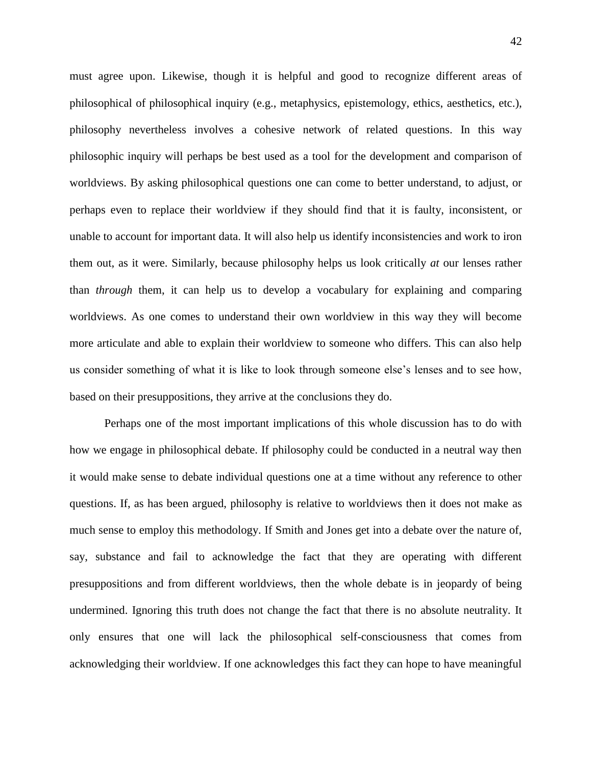must agree upon. Likewise, though it is helpful and good to recognize different areas of philosophical of philosophical inquiry (e.g., metaphysics, epistemology, ethics, aesthetics, etc.), philosophy nevertheless involves a cohesive network of related questions. In this way philosophic inquiry will perhaps be best used as a tool for the development and comparison of worldviews. By asking philosophical questions one can come to better understand, to adjust, or perhaps even to replace their worldview if they should find that it is faulty, inconsistent, or unable to account for important data. It will also help us identify inconsistencies and work to iron them out, as it were. Similarly, because philosophy helps us look critically *at* our lenses rather than *through* them, it can help us to develop a vocabulary for explaining and comparing worldviews. As one comes to understand their own worldview in this way they will become more articulate and able to explain their worldview to someone who differs. This can also help us consider something of what it is like to look through someone else's lenses and to see how, based on their presuppositions, they arrive at the conclusions they do.

Perhaps one of the most important implications of this whole discussion has to do with how we engage in philosophical debate. If philosophy could be conducted in a neutral way then it would make sense to debate individual questions one at a time without any reference to other questions. If, as has been argued, philosophy is relative to worldviews then it does not make as much sense to employ this methodology. If Smith and Jones get into a debate over the nature of, say, substance and fail to acknowledge the fact that they are operating with different presuppositions and from different worldviews, then the whole debate is in jeopardy of being undermined. Ignoring this truth does not change the fact that there is no absolute neutrality. It only ensures that one will lack the philosophical self-consciousness that comes from acknowledging their worldview. If one acknowledges this fact they can hope to have meaningful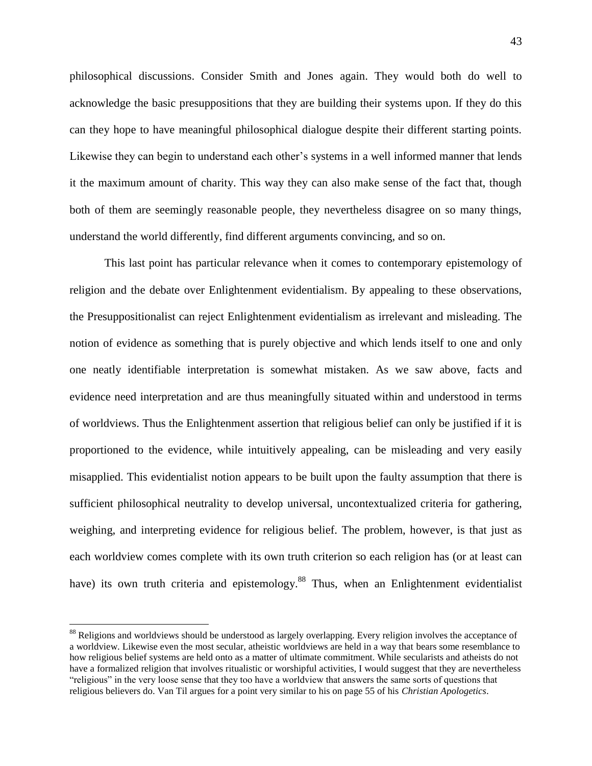philosophical discussions. Consider Smith and Jones again. They would both do well to acknowledge the basic presuppositions that they are building their systems upon. If they do this can they hope to have meaningful philosophical dialogue despite their different starting points. Likewise they can begin to understand each other's systems in a well informed manner that lends it the maximum amount of charity. This way they can also make sense of the fact that, though both of them are seemingly reasonable people, they nevertheless disagree on so many things, understand the world differently, find different arguments convincing, and so on.

This last point has particular relevance when it comes to contemporary epistemology of religion and the debate over Enlightenment evidentialism. By appealing to these observations, the Presuppositionalist can reject Enlightenment evidentialism as irrelevant and misleading. The notion of evidence as something that is purely objective and which lends itself to one and only one neatly identifiable interpretation is somewhat mistaken. As we saw above, facts and evidence need interpretation and are thus meaningfully situated within and understood in terms of worldviews. Thus the Enlightenment assertion that religious belief can only be justified if it is proportioned to the evidence, while intuitively appealing, can be misleading and very easily misapplied. This evidentialist notion appears to be built upon the faulty assumption that there is sufficient philosophical neutrality to develop universal, uncontextualized criteria for gathering, weighing, and interpreting evidence for religious belief. The problem, however, is that just as each worldview comes complete with its own truth criterion so each religion has (or at least can have) its own truth criteria and epistemology.<sup>88</sup> Thus, when an Enlightenment evidentialist

l

<sup>&</sup>lt;sup>88</sup> Religions and worldviews should be understood as largely overlapping. Every religion involves the acceptance of a worldview. Likewise even the most secular, atheistic worldviews are held in a way that bears some resemblance to how religious belief systems are held onto as a matter of ultimate commitment. While secularists and atheists do not have a formalized religion that involves ritualistic or worshipful activities, I would suggest that they are nevertheless "religious" in the very loose sense that they too have a worldview that answers the same sorts of questions that religious believers do. Van Til argues for a point very similar to his on page 55 of his *Christian Apologetics*.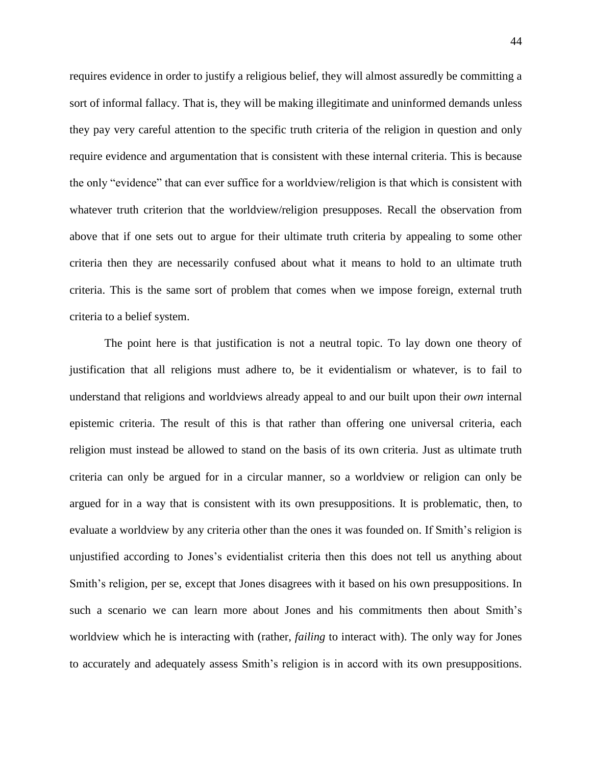requires evidence in order to justify a religious belief, they will almost assuredly be committing a sort of informal fallacy. That is, they will be making illegitimate and uninformed demands unless they pay very careful attention to the specific truth criteria of the religion in question and only require evidence and argumentation that is consistent with these internal criteria. This is because the only "evidence" that can ever suffice for a worldview/religion is that which is consistent with whatever truth criterion that the worldview/religion presupposes. Recall the observation from above that if one sets out to argue for their ultimate truth criteria by appealing to some other criteria then they are necessarily confused about what it means to hold to an ultimate truth criteria. This is the same sort of problem that comes when we impose foreign, external truth criteria to a belief system.

The point here is that justification is not a neutral topic. To lay down one theory of justification that all religions must adhere to, be it evidentialism or whatever, is to fail to understand that religions and worldviews already appeal to and our built upon their *own* internal epistemic criteria. The result of this is that rather than offering one universal criteria, each religion must instead be allowed to stand on the basis of its own criteria. Just as ultimate truth criteria can only be argued for in a circular manner, so a worldview or religion can only be argued for in a way that is consistent with its own presuppositions. It is problematic, then, to evaluate a worldview by any criteria other than the ones it was founded on. If Smith's religion is unjustified according to Jones's evidentialist criteria then this does not tell us anything about Smith's religion, per se, except that Jones disagrees with it based on his own presuppositions. In such a scenario we can learn more about Jones and his commitments then about Smith's worldview which he is interacting with (rather, *failing* to interact with). The only way for Jones to accurately and adequately assess Smith's religion is in accord with its own presuppositions.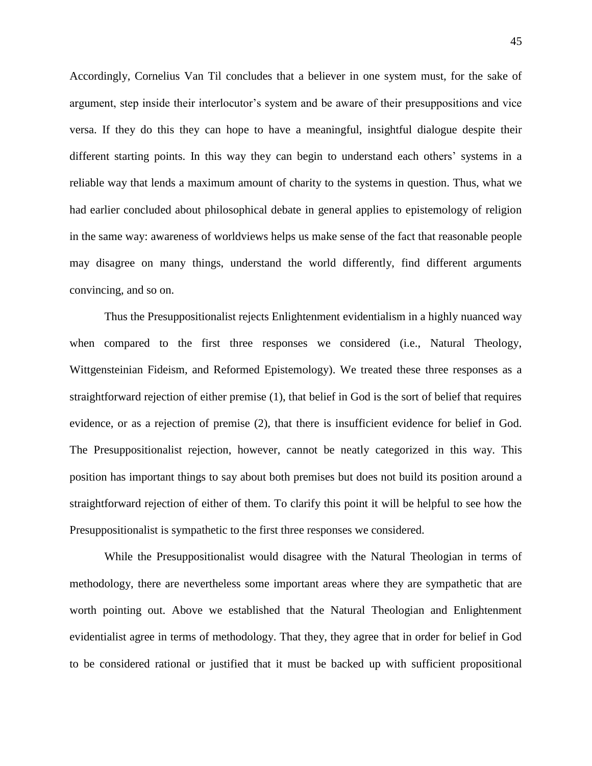Accordingly, Cornelius Van Til concludes that a believer in one system must, for the sake of argument, step inside their interlocutor's system and be aware of their presuppositions and vice versa. If they do this they can hope to have a meaningful, insightful dialogue despite their different starting points. In this way they can begin to understand each others' systems in a reliable way that lends a maximum amount of charity to the systems in question. Thus, what we had earlier concluded about philosophical debate in general applies to epistemology of religion in the same way: awareness of worldviews helps us make sense of the fact that reasonable people may disagree on many things, understand the world differently, find different arguments convincing, and so on.

Thus the Presuppositionalist rejects Enlightenment evidentialism in a highly nuanced way when compared to the first three responses we considered (i.e., Natural Theology, Wittgensteinian Fideism, and Reformed Epistemology). We treated these three responses as a straightforward rejection of either premise (1), that belief in God is the sort of belief that requires evidence, or as a rejection of premise (2), that there is insufficient evidence for belief in God. The Presuppositionalist rejection, however, cannot be neatly categorized in this way. This position has important things to say about both premises but does not build its position around a straightforward rejection of either of them. To clarify this point it will be helpful to see how the Presuppositionalist is sympathetic to the first three responses we considered.

While the Presuppositionalist would disagree with the Natural Theologian in terms of methodology, there are nevertheless some important areas where they are sympathetic that are worth pointing out. Above we established that the Natural Theologian and Enlightenment evidentialist agree in terms of methodology. That they, they agree that in order for belief in God to be considered rational or justified that it must be backed up with sufficient propositional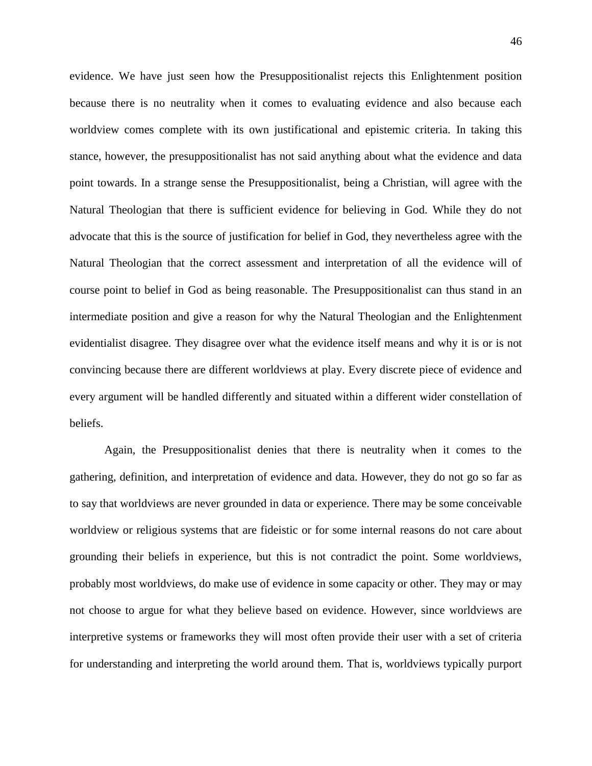evidence. We have just seen how the Presuppositionalist rejects this Enlightenment position because there is no neutrality when it comes to evaluating evidence and also because each worldview comes complete with its own justificational and epistemic criteria. In taking this stance, however, the presuppositionalist has not said anything about what the evidence and data point towards. In a strange sense the Presuppositionalist, being a Christian, will agree with the Natural Theologian that there is sufficient evidence for believing in God. While they do not advocate that this is the source of justification for belief in God, they nevertheless agree with the Natural Theologian that the correct assessment and interpretation of all the evidence will of course point to belief in God as being reasonable. The Presuppositionalist can thus stand in an intermediate position and give a reason for why the Natural Theologian and the Enlightenment evidentialist disagree. They disagree over what the evidence itself means and why it is or is not convincing because there are different worldviews at play. Every discrete piece of evidence and every argument will be handled differently and situated within a different wider constellation of beliefs.

Again, the Presuppositionalist denies that there is neutrality when it comes to the gathering, definition, and interpretation of evidence and data. However, they do not go so far as to say that worldviews are never grounded in data or experience. There may be some conceivable worldview or religious systems that are fideistic or for some internal reasons do not care about grounding their beliefs in experience, but this is not contradict the point. Some worldviews, probably most worldviews, do make use of evidence in some capacity or other. They may or may not choose to argue for what they believe based on evidence. However, since worldviews are interpretive systems or frameworks they will most often provide their user with a set of criteria for understanding and interpreting the world around them. That is, worldviews typically purport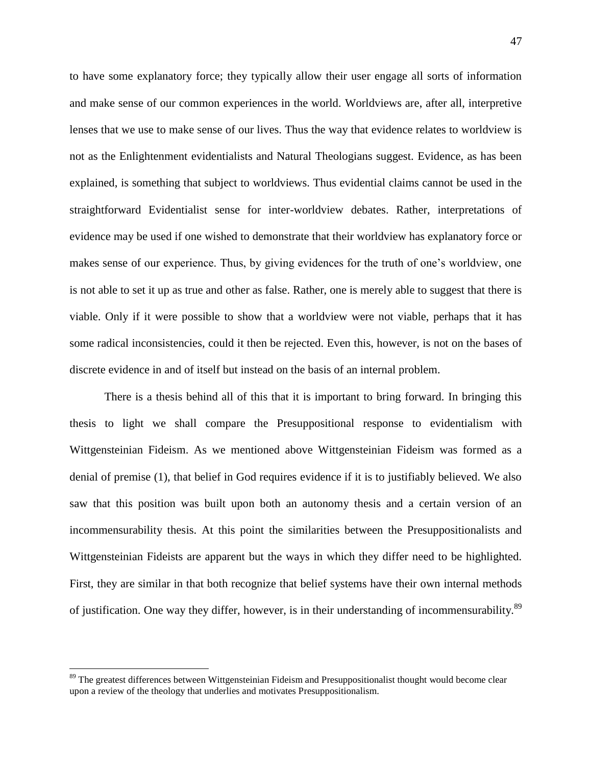to have some explanatory force; they typically allow their user engage all sorts of information and make sense of our common experiences in the world. Worldviews are, after all, interpretive lenses that we use to make sense of our lives. Thus the way that evidence relates to worldview is not as the Enlightenment evidentialists and Natural Theologians suggest. Evidence, as has been explained, is something that subject to worldviews. Thus evidential claims cannot be used in the straightforward Evidentialist sense for inter-worldview debates. Rather, interpretations of evidence may be used if one wished to demonstrate that their worldview has explanatory force or makes sense of our experience. Thus, by giving evidences for the truth of one's worldview, one is not able to set it up as true and other as false. Rather, one is merely able to suggest that there is viable. Only if it were possible to show that a worldview were not viable, perhaps that it has some radical inconsistencies, could it then be rejected. Even this, however, is not on the bases of discrete evidence in and of itself but instead on the basis of an internal problem.

There is a thesis behind all of this that it is important to bring forward. In bringing this thesis to light we shall compare the Presuppositional response to evidentialism with Wittgensteinian Fideism. As we mentioned above Wittgensteinian Fideism was formed as a denial of premise (1), that belief in God requires evidence if it is to justifiably believed. We also saw that this position was built upon both an autonomy thesis and a certain version of an incommensurability thesis. At this point the similarities between the Presuppositionalists and Wittgensteinian Fideists are apparent but the ways in which they differ need to be highlighted. First, they are similar in that both recognize that belief systems have their own internal methods of justification. One way they differ, however, is in their understanding of incommensurability.<sup>89</sup>

<sup>&</sup>lt;sup>89</sup> The greatest differences between Wittgensteinian Fideism and Presuppositionalist thought would become clear upon a review of the theology that underlies and motivates Presuppositionalism.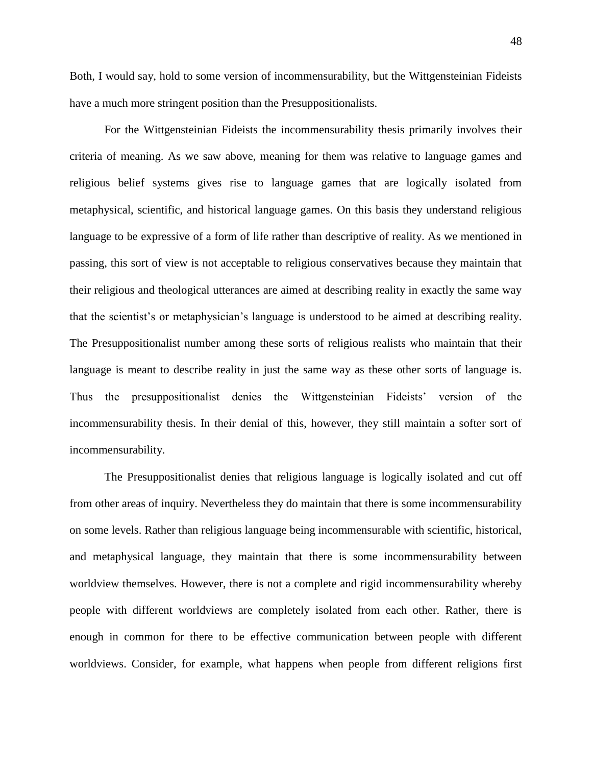Both, I would say, hold to some version of incommensurability, but the Wittgensteinian Fideists have a much more stringent position than the Presuppositionalists.

For the Wittgensteinian Fideists the incommensurability thesis primarily involves their criteria of meaning. As we saw above, meaning for them was relative to language games and religious belief systems gives rise to language games that are logically isolated from metaphysical, scientific, and historical language games. On this basis they understand religious language to be expressive of a form of life rather than descriptive of reality. As we mentioned in passing, this sort of view is not acceptable to religious conservatives because they maintain that their religious and theological utterances are aimed at describing reality in exactly the same way that the scientist's or metaphysician's language is understood to be aimed at describing reality. The Presuppositionalist number among these sorts of religious realists who maintain that their language is meant to describe reality in just the same way as these other sorts of language is. Thus the presuppositionalist denies the Wittgensteinian Fideists' version of the incommensurability thesis. In their denial of this, however, they still maintain a softer sort of incommensurability.

The Presuppositionalist denies that religious language is logically isolated and cut off from other areas of inquiry. Nevertheless they do maintain that there is some incommensurability on some levels. Rather than religious language being incommensurable with scientific, historical, and metaphysical language, they maintain that there is some incommensurability between worldview themselves. However, there is not a complete and rigid incommensurability whereby people with different worldviews are completely isolated from each other. Rather, there is enough in common for there to be effective communication between people with different worldviews. Consider, for example, what happens when people from different religions first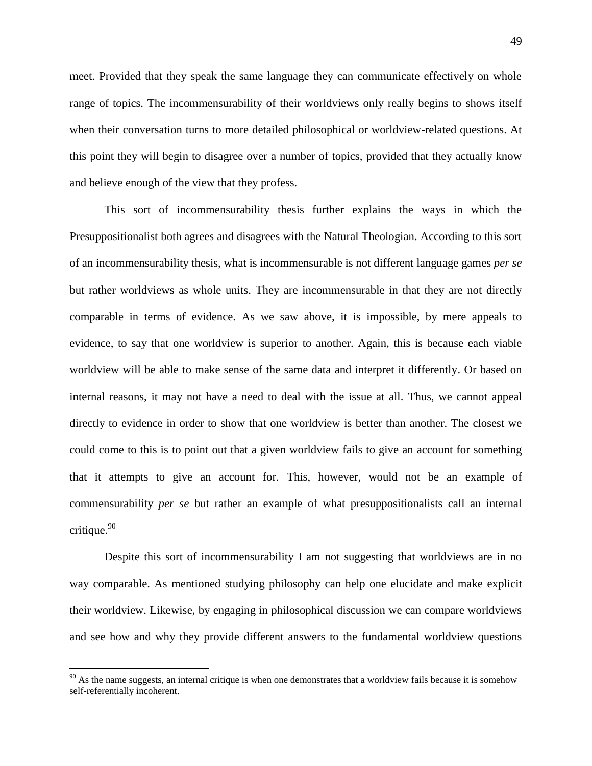meet. Provided that they speak the same language they can communicate effectively on whole range of topics. The incommensurability of their worldviews only really begins to shows itself when their conversation turns to more detailed philosophical or worldview-related questions. At this point they will begin to disagree over a number of topics, provided that they actually know and believe enough of the view that they profess.

This sort of incommensurability thesis further explains the ways in which the Presuppositionalist both agrees and disagrees with the Natural Theologian. According to this sort of an incommensurability thesis, what is incommensurable is not different language games *per se* but rather worldviews as whole units. They are incommensurable in that they are not directly comparable in terms of evidence. As we saw above, it is impossible, by mere appeals to evidence, to say that one worldview is superior to another. Again, this is because each viable worldview will be able to make sense of the same data and interpret it differently. Or based on internal reasons, it may not have a need to deal with the issue at all. Thus, we cannot appeal directly to evidence in order to show that one worldview is better than another. The closest we could come to this is to point out that a given worldview fails to give an account for something that it attempts to give an account for. This, however, would not be an example of commensurability *per se* but rather an example of what presuppositionalists call an internal critique. $90$ 

Despite this sort of incommensurability I am not suggesting that worldviews are in no way comparable. As mentioned studying philosophy can help one elucidate and make explicit their worldview. Likewise, by engaging in philosophical discussion we can compare worldviews and see how and why they provide different answers to the fundamental worldview questions

 $90$  As the name suggests, an internal critique is when one demonstrates that a worldview fails because it is somehow self-referentially incoherent.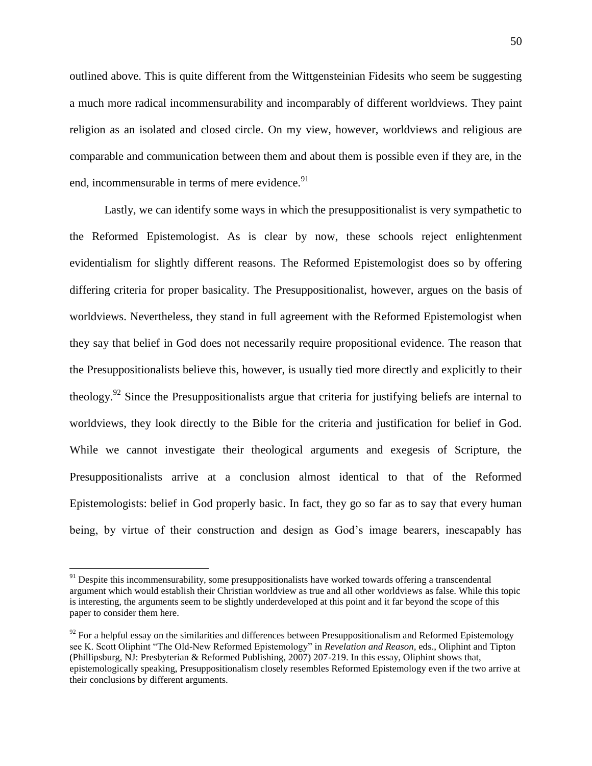outlined above. This is quite different from the Wittgensteinian Fidesits who seem be suggesting a much more radical incommensurability and incomparably of different worldviews. They paint religion as an isolated and closed circle. On my view, however, worldviews and religious are comparable and communication between them and about them is possible even if they are, in the end, incommensurable in terms of mere evidence.<sup>91</sup>

Lastly, we can identify some ways in which the presuppositionalist is very sympathetic to the Reformed Epistemologist. As is clear by now, these schools reject enlightenment evidentialism for slightly different reasons. The Reformed Epistemologist does so by offering differing criteria for proper basicality. The Presuppositionalist, however, argues on the basis of worldviews. Nevertheless, they stand in full agreement with the Reformed Epistemologist when they say that belief in God does not necessarily require propositional evidence. The reason that the Presuppositionalists believe this, however, is usually tied more directly and explicitly to their theology.<sup>92</sup> Since the Presuppositionalists argue that criteria for justifying beliefs are internal to worldviews, they look directly to the Bible for the criteria and justification for belief in God. While we cannot investigate their theological arguments and exegesis of Scripture, the Presuppositionalists arrive at a conclusion almost identical to that of the Reformed Epistemologists: belief in God properly basic. In fact, they go so far as to say that every human being, by virtue of their construction and design as God's image bearers, inescapably has

 $91$  Despite this incommensurability, some presuppositionalists have worked towards offering a transcendental argument which would establish their Christian worldview as true and all other worldviews as false. While this topic is interesting, the arguments seem to be slightly underdeveloped at this point and it far beyond the scope of this paper to consider them here.

 $92$  For a helpful essay on the similarities and differences between Presuppositionalism and Reformed Epistemology see K. Scott Oliphint "The Old-New Reformed Epistemology" in *Revelation and Reason,* eds., Oliphint and Tipton (Phillipsburg, NJ: Presbyterian & Reformed Publishing, 2007) 207-219. In this essay, Oliphint shows that, epistemologically speaking, Presuppositionalism closely resembles Reformed Epistemology even if the two arrive at their conclusions by different arguments.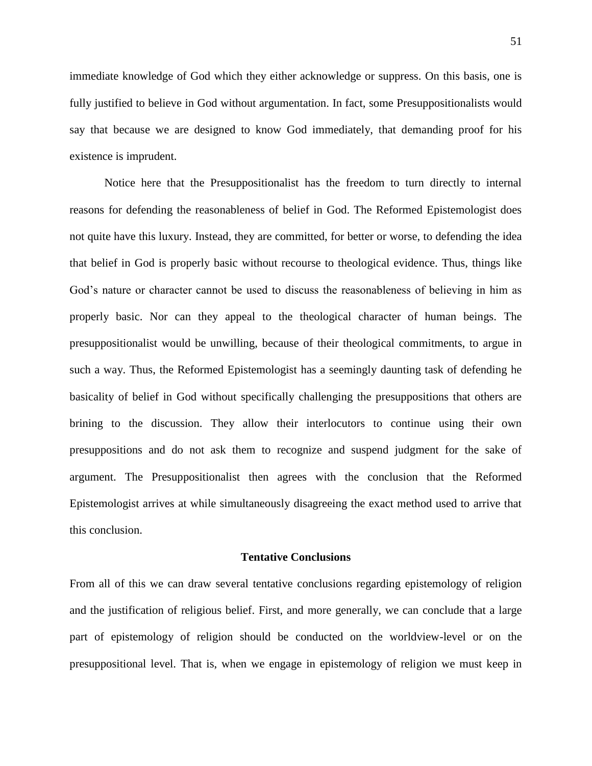immediate knowledge of God which they either acknowledge or suppress. On this basis, one is fully justified to believe in God without argumentation. In fact, some Presuppositionalists would say that because we are designed to know God immediately, that demanding proof for his existence is imprudent.

Notice here that the Presuppositionalist has the freedom to turn directly to internal reasons for defending the reasonableness of belief in God. The Reformed Epistemologist does not quite have this luxury. Instead, they are committed, for better or worse, to defending the idea that belief in God is properly basic without recourse to theological evidence. Thus, things like God's nature or character cannot be used to discuss the reasonableness of believing in him as properly basic. Nor can they appeal to the theological character of human beings. The presuppositionalist would be unwilling, because of their theological commitments, to argue in such a way. Thus, the Reformed Epistemologist has a seemingly daunting task of defending he basicality of belief in God without specifically challenging the presuppositions that others are brining to the discussion. They allow their interlocutors to continue using their own presuppositions and do not ask them to recognize and suspend judgment for the sake of argument. The Presuppositionalist then agrees with the conclusion that the Reformed Epistemologist arrives at while simultaneously disagreeing the exact method used to arrive that this conclusion.

#### **Tentative Conclusions**

From all of this we can draw several tentative conclusions regarding epistemology of religion and the justification of religious belief. First, and more generally, we can conclude that a large part of epistemology of religion should be conducted on the worldview-level or on the presuppositional level. That is, when we engage in epistemology of religion we must keep in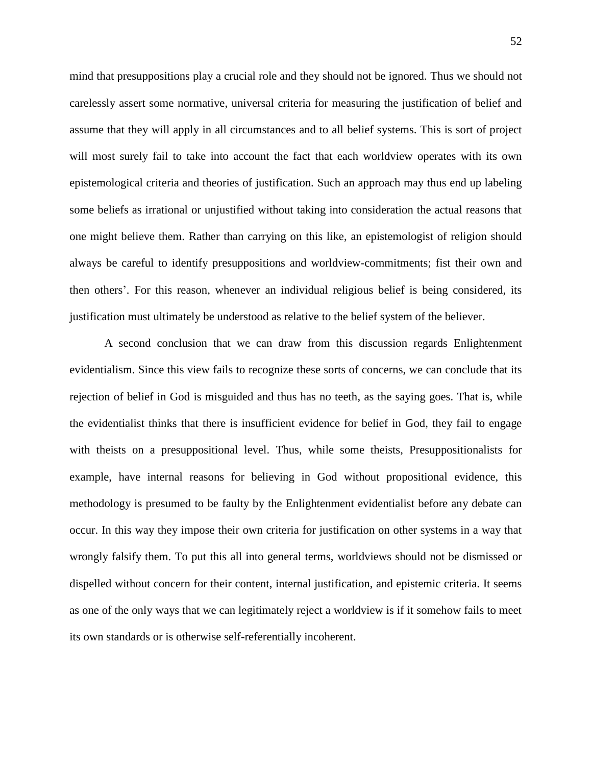mind that presuppositions play a crucial role and they should not be ignored. Thus we should not carelessly assert some normative, universal criteria for measuring the justification of belief and assume that they will apply in all circumstances and to all belief systems. This is sort of project will most surely fail to take into account the fact that each worldview operates with its own epistemological criteria and theories of justification. Such an approach may thus end up labeling some beliefs as irrational or unjustified without taking into consideration the actual reasons that one might believe them. Rather than carrying on this like, an epistemologist of religion should always be careful to identify presuppositions and worldview-commitments; fist their own and then others'. For this reason, whenever an individual religious belief is being considered, its justification must ultimately be understood as relative to the belief system of the believer.

A second conclusion that we can draw from this discussion regards Enlightenment evidentialism. Since this view fails to recognize these sorts of concerns, we can conclude that its rejection of belief in God is misguided and thus has no teeth, as the saying goes. That is, while the evidentialist thinks that there is insufficient evidence for belief in God, they fail to engage with theists on a presuppositional level. Thus, while some theists, Presuppositionalists for example, have internal reasons for believing in God without propositional evidence, this methodology is presumed to be faulty by the Enlightenment evidentialist before any debate can occur. In this way they impose their own criteria for justification on other systems in a way that wrongly falsify them. To put this all into general terms, worldviews should not be dismissed or dispelled without concern for their content, internal justification, and epistemic criteria. It seems as one of the only ways that we can legitimately reject a worldview is if it somehow fails to meet its own standards or is otherwise self-referentially incoherent.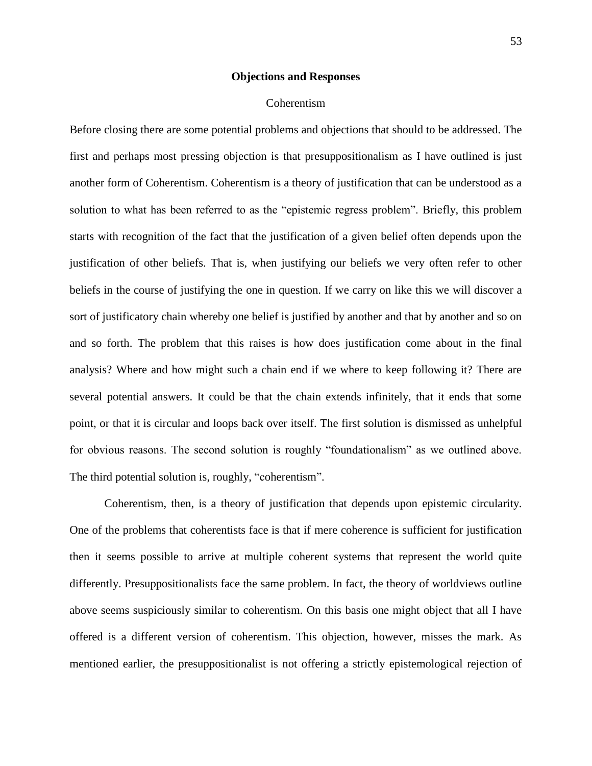#### **Objections and Responses**

#### Coherentism

Before closing there are some potential problems and objections that should to be addressed. The first and perhaps most pressing objection is that presuppositionalism as I have outlined is just another form of Coherentism. Coherentism is a theory of justification that can be understood as a solution to what has been referred to as the "epistemic regress problem". Briefly, this problem starts with recognition of the fact that the justification of a given belief often depends upon the justification of other beliefs. That is, when justifying our beliefs we very often refer to other beliefs in the course of justifying the one in question. If we carry on like this we will discover a sort of justificatory chain whereby one belief is justified by another and that by another and so on and so forth. The problem that this raises is how does justification come about in the final analysis? Where and how might such a chain end if we where to keep following it? There are several potential answers. It could be that the chain extends infinitely, that it ends that some point, or that it is circular and loops back over itself. The first solution is dismissed as unhelpful for obvious reasons. The second solution is roughly "foundationalism" as we outlined above. The third potential solution is, roughly, "coherentism".

Coherentism, then, is a theory of justification that depends upon epistemic circularity. One of the problems that coherentists face is that if mere coherence is sufficient for justification then it seems possible to arrive at multiple coherent systems that represent the world quite differently. Presuppositionalists face the same problem. In fact, the theory of worldviews outline above seems suspiciously similar to coherentism. On this basis one might object that all I have offered is a different version of coherentism. This objection, however, misses the mark. As mentioned earlier, the presuppositionalist is not offering a strictly epistemological rejection of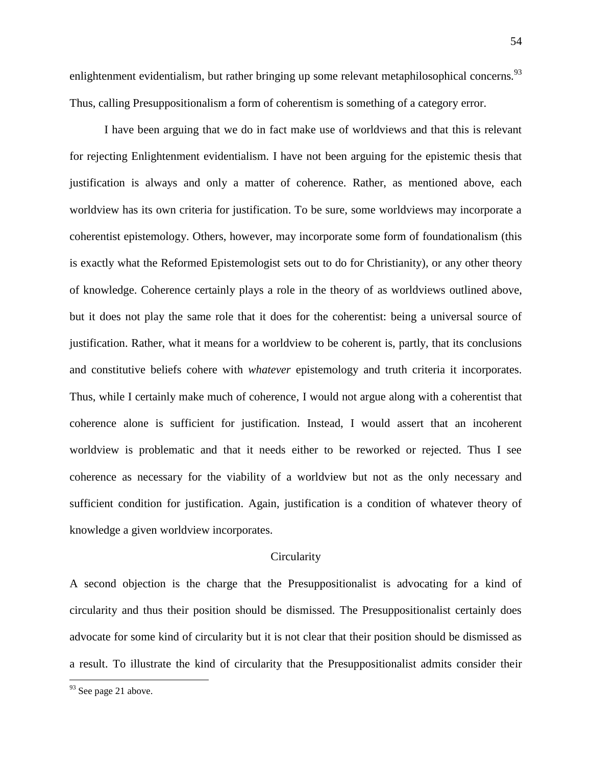enlightenment evidentialism, but rather bringing up some relevant metaphilosophical concerns.<sup>93</sup> Thus, calling Presuppositionalism a form of coherentism is something of a category error.

I have been arguing that we do in fact make use of worldviews and that this is relevant for rejecting Enlightenment evidentialism. I have not been arguing for the epistemic thesis that justification is always and only a matter of coherence. Rather, as mentioned above, each worldview has its own criteria for justification. To be sure, some worldviews may incorporate a coherentist epistemology. Others, however, may incorporate some form of foundationalism (this is exactly what the Reformed Epistemologist sets out to do for Christianity), or any other theory of knowledge. Coherence certainly plays a role in the theory of as worldviews outlined above, but it does not play the same role that it does for the coherentist: being a universal source of justification. Rather, what it means for a worldview to be coherent is, partly, that its conclusions and constitutive beliefs cohere with *whatever* epistemology and truth criteria it incorporates. Thus, while I certainly make much of coherence, I would not argue along with a coherentist that coherence alone is sufficient for justification. Instead, I would assert that an incoherent worldview is problematic and that it needs either to be reworked or rejected. Thus I see coherence as necessary for the viability of a worldview but not as the only necessary and sufficient condition for justification. Again, justification is a condition of whatever theory of knowledge a given worldview incorporates.

#### **Circularity**

A second objection is the charge that the Presuppositionalist is advocating for a kind of circularity and thus their position should be dismissed. The Presuppositionalist certainly does advocate for some kind of circularity but it is not clear that their position should be dismissed as a result. To illustrate the kind of circularity that the Presuppositionalist admits consider their

 $93$  See page 21 above.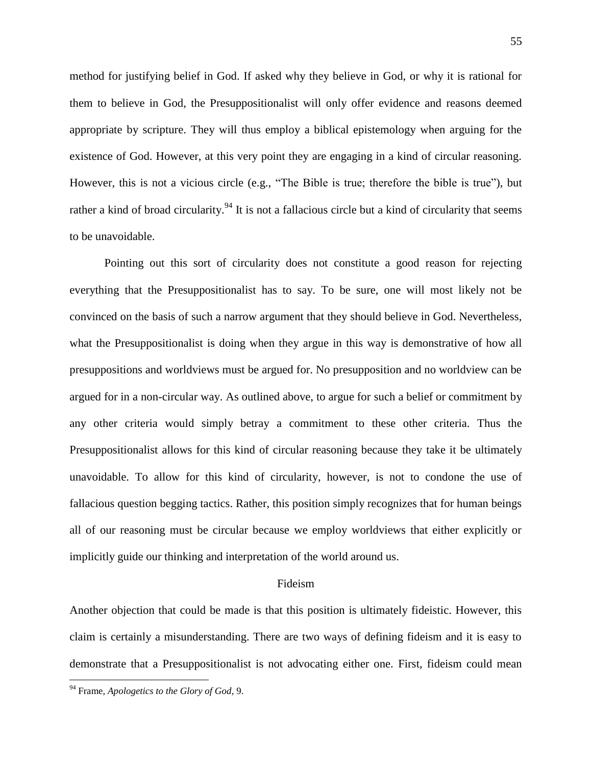method for justifying belief in God. If asked why they believe in God, or why it is rational for them to believe in God, the Presuppositionalist will only offer evidence and reasons deemed appropriate by scripture. They will thus employ a biblical epistemology when arguing for the existence of God. However, at this very point they are engaging in a kind of circular reasoning. However, this is not a vicious circle (e.g., "The Bible is true; therefore the bible is true"), but rather a kind of broad circularity.<sup>94</sup> It is not a fallacious circle but a kind of circularity that seems to be unavoidable.

Pointing out this sort of circularity does not constitute a good reason for rejecting everything that the Presuppositionalist has to say. To be sure, one will most likely not be convinced on the basis of such a narrow argument that they should believe in God. Nevertheless, what the Presuppositionalist is doing when they argue in this way is demonstrative of how all presuppositions and worldviews must be argued for. No presupposition and no worldview can be argued for in a non-circular way. As outlined above, to argue for such a belief or commitment by any other criteria would simply betray a commitment to these other criteria. Thus the Presuppositionalist allows for this kind of circular reasoning because they take it be ultimately unavoidable. To allow for this kind of circularity, however, is not to condone the use of fallacious question begging tactics. Rather, this position simply recognizes that for human beings all of our reasoning must be circular because we employ worldviews that either explicitly or implicitly guide our thinking and interpretation of the world around us.

#### Fideism

Another objection that could be made is that this position is ultimately fideistic. However, this claim is certainly a misunderstanding. There are two ways of defining fideism and it is easy to demonstrate that a Presuppositionalist is not advocating either one. First, fideism could mean

<sup>94</sup> Frame, *Apologetics to the Glory of God*, 9.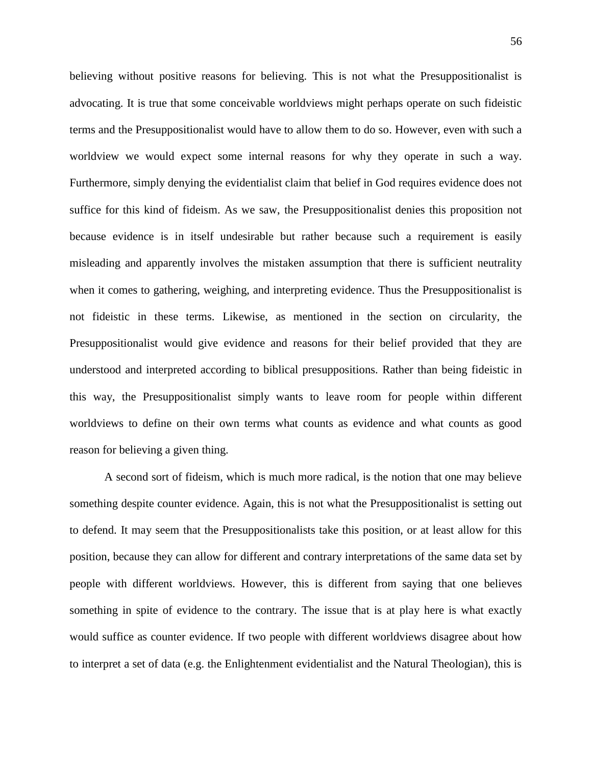believing without positive reasons for believing. This is not what the Presuppositionalist is advocating. It is true that some conceivable worldviews might perhaps operate on such fideistic terms and the Presuppositionalist would have to allow them to do so. However, even with such a worldview we would expect some internal reasons for why they operate in such a way. Furthermore, simply denying the evidentialist claim that belief in God requires evidence does not suffice for this kind of fideism. As we saw, the Presuppositionalist denies this proposition not because evidence is in itself undesirable but rather because such a requirement is easily misleading and apparently involves the mistaken assumption that there is sufficient neutrality when it comes to gathering, weighing, and interpreting evidence. Thus the Presuppositionalist is not fideistic in these terms. Likewise, as mentioned in the section on circularity, the Presuppositionalist would give evidence and reasons for their belief provided that they are understood and interpreted according to biblical presuppositions. Rather than being fideistic in this way, the Presuppositionalist simply wants to leave room for people within different worldviews to define on their own terms what counts as evidence and what counts as good reason for believing a given thing.

A second sort of fideism, which is much more radical, is the notion that one may believe something despite counter evidence. Again, this is not what the Presuppositionalist is setting out to defend. It may seem that the Presuppositionalists take this position, or at least allow for this position, because they can allow for different and contrary interpretations of the same data set by people with different worldviews. However, this is different from saying that one believes something in spite of evidence to the contrary. The issue that is at play here is what exactly would suffice as counter evidence. If two people with different worldviews disagree about how to interpret a set of data (e.g. the Enlightenment evidentialist and the Natural Theologian), this is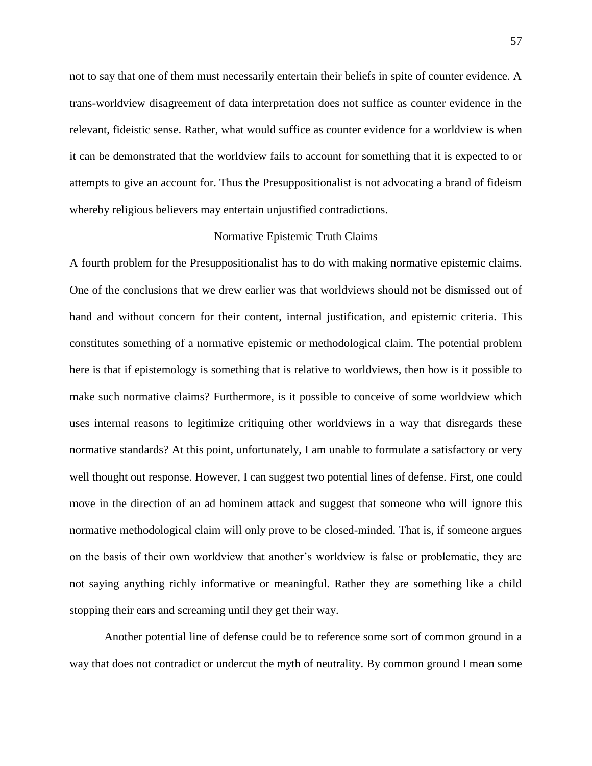not to say that one of them must necessarily entertain their beliefs in spite of counter evidence. A trans-worldview disagreement of data interpretation does not suffice as counter evidence in the relevant, fideistic sense. Rather, what would suffice as counter evidence for a worldview is when it can be demonstrated that the worldview fails to account for something that it is expected to or attempts to give an account for. Thus the Presuppositionalist is not advocating a brand of fideism whereby religious believers may entertain unjustified contradictions.

#### Normative Epistemic Truth Claims

A fourth problem for the Presuppositionalist has to do with making normative epistemic claims. One of the conclusions that we drew earlier was that worldviews should not be dismissed out of hand and without concern for their content, internal justification, and epistemic criteria. This constitutes something of a normative epistemic or methodological claim. The potential problem here is that if epistemology is something that is relative to worldviews, then how is it possible to make such normative claims? Furthermore, is it possible to conceive of some worldview which uses internal reasons to legitimize critiquing other worldviews in a way that disregards these normative standards? At this point, unfortunately, I am unable to formulate a satisfactory or very well thought out response. However, I can suggest two potential lines of defense. First, one could move in the direction of an ad hominem attack and suggest that someone who will ignore this normative methodological claim will only prove to be closed-minded. That is, if someone argues on the basis of their own worldview that another's worldview is false or problematic, they are not saying anything richly informative or meaningful. Rather they are something like a child stopping their ears and screaming until they get their way.

Another potential line of defense could be to reference some sort of common ground in a way that does not contradict or undercut the myth of neutrality. By common ground I mean some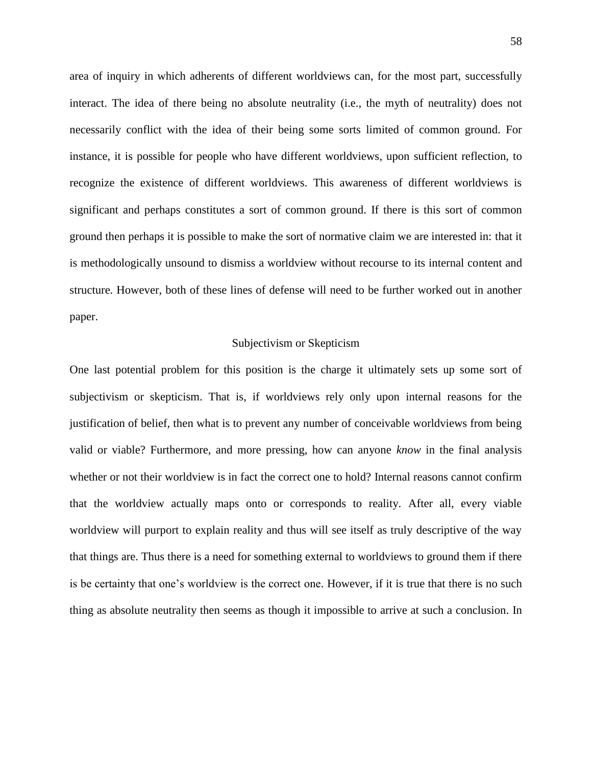area of inquiry in which adherents of different worldviews can, for the most part, successfully interact. The idea of there being no absolute neutrality (i.e., the myth of neutrality) does not necessarily conflict with the idea of their being some sorts limited of common ground. For instance, it is possible for people who have different worldviews, upon sufficient reflection, to recognize the existence of different worldviews. This awareness of different worldviews is significant and perhaps constitutes a sort of common ground. If there is this sort of common ground then perhaps it is possible to make the sort of normative claim we are interested in: that it is methodologically unsound to dismiss a worldview without recourse to its internal content and structure. However, both of these lines of defense will need to be further worked out in another paper.

### Subjectivism or Skepticism

One last potential problem for this position is the charge it ultimately sets up some sort of subjectivism or skepticism. That is, if worldviews rely only upon internal reasons for the justification of belief, then what is to prevent any number of conceivable worldviews from being valid or viable? Furthermore, and more pressing, how can anyone *know* in the final analysis whether or not their worldview is in fact the correct one to hold? Internal reasons cannot confirm that the worldview actually maps onto or corresponds to reality. After all, every viable worldview will purport to explain reality and thus will see itself as truly descriptive of the way that things are. Thus there is a need for something external to worldviews to ground them if there is be certainty that one's worldview is the correct one. However, if it is true that there is no such thing as absolute neutrality then seems as though it impossible to arrive at such a conclusion. In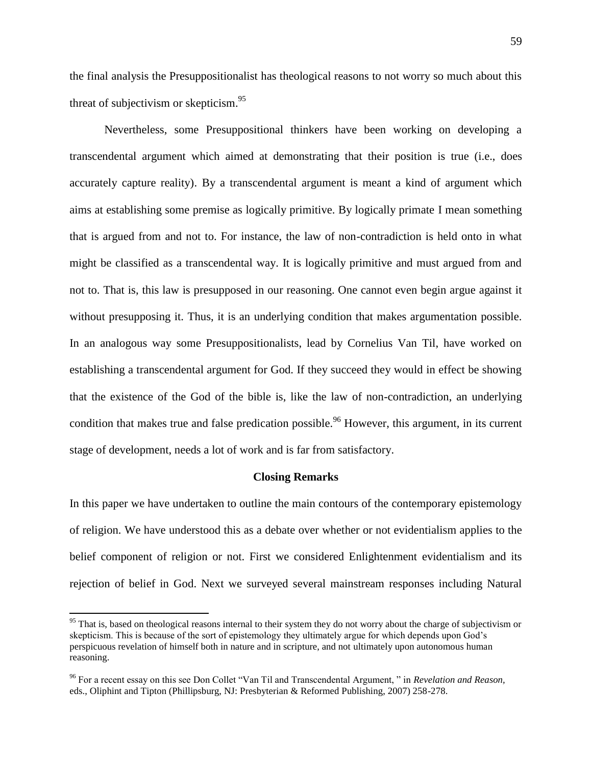the final analysis the Presuppositionalist has theological reasons to not worry so much about this threat of subjectivism or skepticism.<sup>95</sup>

Nevertheless, some Presuppositional thinkers have been working on developing a transcendental argument which aimed at demonstrating that their position is true (i.e., does accurately capture reality). By a transcendental argument is meant a kind of argument which aims at establishing some premise as logically primitive. By logically primate I mean something that is argued from and not to. For instance, the law of non-contradiction is held onto in what might be classified as a transcendental way. It is logically primitive and must argued from and not to. That is, this law is presupposed in our reasoning. One cannot even begin argue against it without presupposing it. Thus, it is an underlying condition that makes argumentation possible. In an analogous way some Presuppositionalists, lead by Cornelius Van Til, have worked on establishing a transcendental argument for God. If they succeed they would in effect be showing that the existence of the God of the bible is, like the law of non-contradiction, an underlying condition that makes true and false predication possible.<sup>96</sup> However, this argument, in its current stage of development, needs a lot of work and is far from satisfactory.

#### **Closing Remarks**

In this paper we have undertaken to outline the main contours of the contemporary epistemology of religion. We have understood this as a debate over whether or not evidentialism applies to the belief component of religion or not. First we considered Enlightenment evidentialism and its rejection of belief in God. Next we surveyed several mainstream responses including Natural

 $95$  That is, based on theological reasons internal to their system they do not worry about the charge of subjectivism or skepticism. This is because of the sort of epistemology they ultimately argue for which depends upon God's perspicuous revelation of himself both in nature and in scripture, and not ultimately upon autonomous human reasoning.

<sup>96</sup> For a recent essay on this see Don Collet "Van Til and Transcendental Argument, " in *Revelation and Reason,*  eds., Oliphint and Tipton (Phillipsburg, NJ: Presbyterian & Reformed Publishing, 2007) 258-278.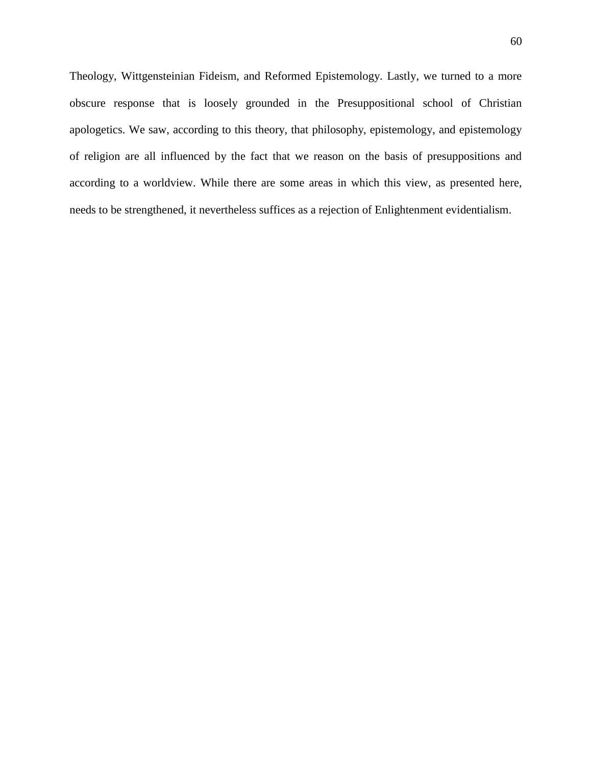Theology, Wittgensteinian Fideism, and Reformed Epistemology. Lastly, we turned to a more obscure response that is loosely grounded in the Presuppositional school of Christian apologetics. We saw, according to this theory, that philosophy, epistemology, and epistemology of religion are all influenced by the fact that we reason on the basis of presuppositions and according to a worldview. While there are some areas in which this view, as presented here, needs to be strengthened, it nevertheless suffices as a rejection of Enlightenment evidentialism.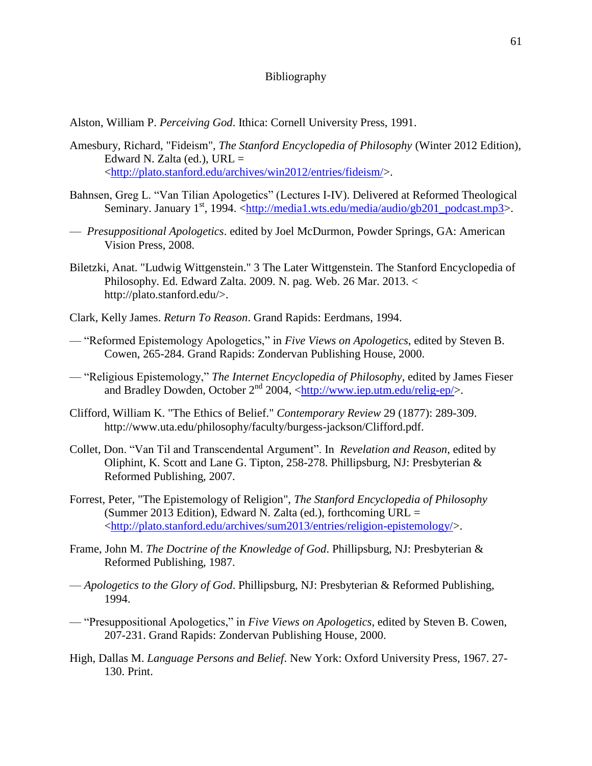# Bibliography

Alston, William P. *Perceiving God*. Ithica: Cornell University Press, 1991.

- Amesbury, Richard, "Fideism", *The Stanford Encyclopedia of Philosophy* (Winter 2012 Edition), Edward N. Zalta (ed.),  $URL =$ [<http://plato.stanford.edu/archives/win2012/entries/fideism/>](http://plato.stanford.edu/archives/win2012/entries/fideism/).
- Bahnsen, Greg L. "Van Tilian Apologetics" (Lectures I-IV). Delivered at Reformed Theological Seminary. January 1<sup>st</sup>, 1994. [<http://media1.wts.edu/media/audio/gb201\\_podcast.mp3>](http://media1.wts.edu/media/audio/gb201_podcast.mp3).
- *Presuppositional Apologetics*. edited by Joel McDurmon, Powder Springs, GA: American Vision Press, 2008.
- Biletzki, Anat. "Ludwig Wittgenstein." 3 The Later Wittgenstein. The Stanford Encyclopedia of Philosophy. Ed. Edward Zalta. 2009. N. pag. Web. 26 Mar. 2013. < http://plato.stanford.edu/>.
- Clark, Kelly James. *Return To Reason*. Grand Rapids: Eerdmans, 1994.
- "Reformed Epistemology Apologetics," in *Five Views on Apologetics*, edited by Steven B. Cowen, 265-284. Grand Rapids: Zondervan Publishing House, 2000.
- "Religious Epistemology," *The Internet Encyclopedia of Philosophy*, edited by James Fieser and Bradley Dowden, October  $2<sup>nd</sup>$  2004,  $\langle \frac{http://www.iep.utm.edu/relig-ep/}{$ .
- Clifford, William K. "The Ethics of Belief." *Contemporary Review* 29 (1877): 289-309. http://www.uta.edu/philosophy/faculty/burgess-jackson/Clifford.pdf.
- Collet, Don. "Van Til and Transcendental Argument". In *Revelation and Reason*, edited by Oliphint, K. Scott and Lane G. Tipton, 258-278. Phillipsburg, NJ: Presbyterian & Reformed Publishing, 2007.
- Forrest, Peter, "The Epistemology of Religion", *The Stanford Encyclopedia of Philosophy* (Summer 2013 Edition), Edward N. Zalta (ed.), forthcoming  $URL =$ [<http://plato.stanford.edu/archives/sum2013/entries/religion-epistemology/>](http://plato.stanford.edu/archives/sum2013/entries/religion-epistemology/).
- Frame, John M. *The Doctrine of the Knowledge of God*. Phillipsburg, NJ: Presbyterian & Reformed Publishing, 1987.
- *Apologetics to the Glory of God*. Phillipsburg, NJ: Presbyterian & Reformed Publishing, 1994.
- "Presuppositional Apologetics," in *Five Views on Apologetics*, edited by Steven B. Cowen, 207-231. Grand Rapids: Zondervan Publishing House, 2000.
- High, Dallas M. *Language Persons and Belief*. New York: Oxford University Press, 1967. 27- 130. Print.